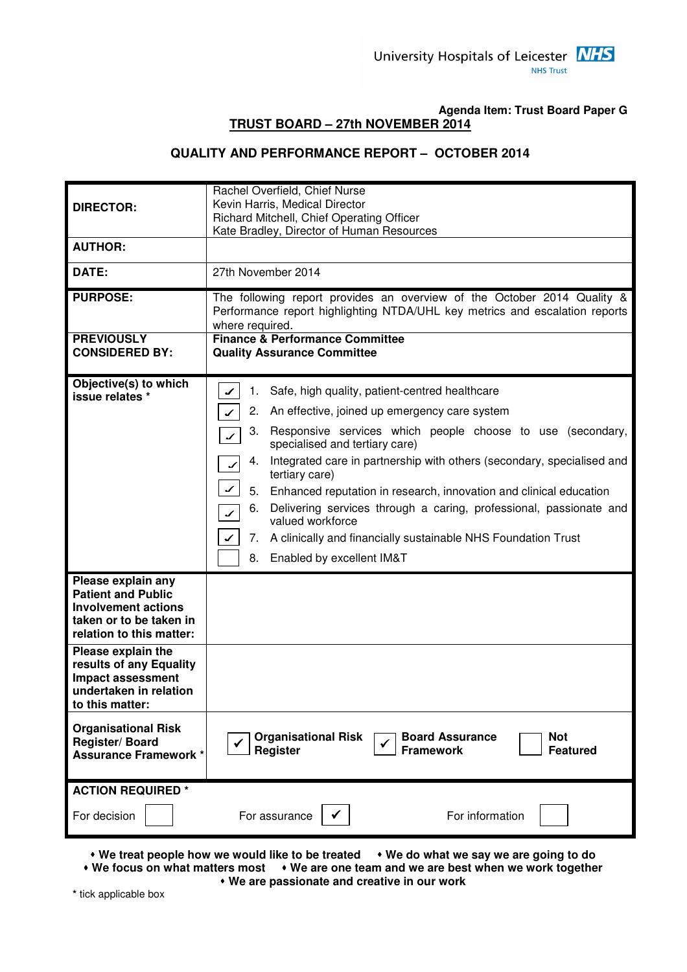#### **Agenda Item: Trust Board Paper G TRUST BOARD – 27th NOVEMBER 2014**

#### **QUALITY AND PERFORMANCE REPORT – OCTOBER 2014**

| <b>DIRECTOR:</b>                                                                                                                     | Rachel Overfield, Chief Nurse<br>Kevin Harris, Medical Director<br>Richard Mitchell, Chief Operating Officer                                                              |
|--------------------------------------------------------------------------------------------------------------------------------------|---------------------------------------------------------------------------------------------------------------------------------------------------------------------------|
| <b>AUTHOR:</b>                                                                                                                       | Kate Bradley, Director of Human Resources                                                                                                                                 |
|                                                                                                                                      |                                                                                                                                                                           |
| DATE:                                                                                                                                | 27th November 2014                                                                                                                                                        |
| <b>PURPOSE:</b>                                                                                                                      | The following report provides an overview of the October 2014 Quality &<br>Performance report highlighting NTDA/UHL key metrics and escalation reports<br>where required. |
| <b>PREVIOUSLY</b><br><b>CONSIDERED BY:</b>                                                                                           | <b>Finance &amp; Performance Committee</b><br><b>Quality Assurance Committee</b>                                                                                          |
| Objective(s) to which<br>issue relates *                                                                                             | Safe, high quality, patient-centred healthcare<br>1.                                                                                                                      |
|                                                                                                                                      | 2.<br>An effective, joined up emergency care system                                                                                                                       |
|                                                                                                                                      | Responsive services which people choose to use (secondary,<br>3.<br>$\boldsymbol{r}$<br>specialised and tertiary care)                                                    |
|                                                                                                                                      | Integrated care in partnership with others (secondary, specialised and<br>4.<br>tertiary care)                                                                            |
|                                                                                                                                      | ✔<br>5.<br>Enhanced reputation in research, innovation and clinical education                                                                                             |
|                                                                                                                                      | Delivering services through a caring, professional, passionate and<br>6.<br>$\boldsymbol{r}$<br>valued workforce                                                          |
|                                                                                                                                      | A clinically and financially sustainable NHS Foundation Trust<br>7.                                                                                                       |
|                                                                                                                                      | 8.<br>Enabled by excellent IM&T                                                                                                                                           |
| Please explain any<br><b>Patient and Public</b><br><b>Involvement actions</b><br>taken or to be taken in<br>relation to this matter: |                                                                                                                                                                           |
| Please explain the<br>results of any Equality<br><b>Impact assessment</b><br>undertaken in relation<br>to this matter:               |                                                                                                                                                                           |
| <b>Organisational Risk</b><br>Register/Board<br><b>Assurance Framework *</b>                                                         | <b>Organisational Risk</b><br><b>Board Assurance</b><br><b>Not</b><br><b>Register</b><br><b>Framework</b><br><b>Featured</b>                                              |
| <b>ACTION REQUIRED *</b>                                                                                                             |                                                                                                                                                                           |
| For decision                                                                                                                         | For information<br>For assurance<br>✓                                                                                                                                     |

• We treat people how we would like to be treated • We do what we say we are going to do  **We focus on what matters most We are one team and we are best when we work together** 

 **We are passionate and creative in our work** 

**\*** tick applicable box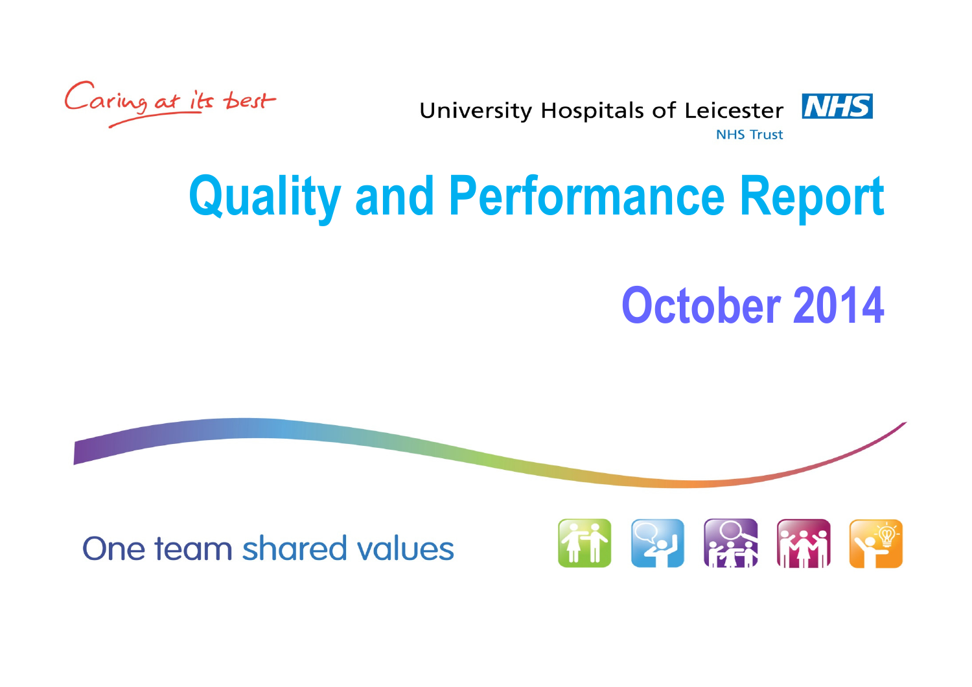Caring at its best

**NHS University Hospitals of Leicester NHS Trust** 

# Quality and Performance Report

## October 2014

One team shared values

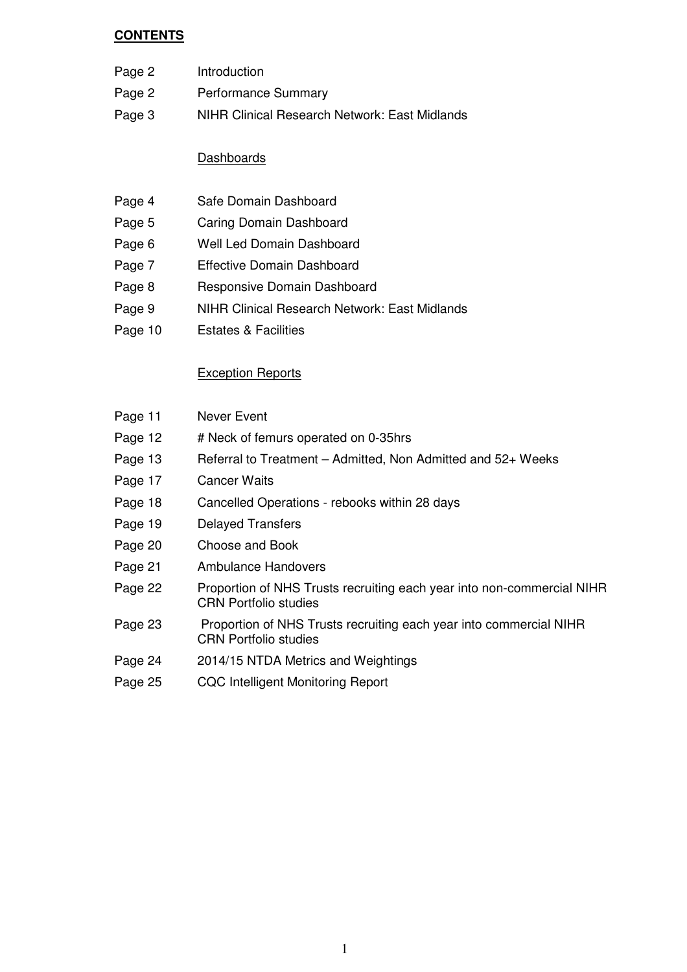#### **CONTENTS**

- Page 2 Introduction
- Page 2 Performance Summary
- Page 3 NIHR Clinical Research Network: East Midlands

#### **Dashboards**

- Page 4 Safe Domain Dashboard
- Page 5 Caring Domain Dashboard
- Page 6 Well Led Domain Dashboard
- Page 7 Effective Domain Dashboard
- Page 8 Responsive Domain Dashboard
- Page 9 NIHR Clinical Research Network: East Midlands
- Page 10 Estates & Facilities

#### Exception Reports

| Page 11 | Never Event                                                                                            |
|---------|--------------------------------------------------------------------------------------------------------|
| Page 12 | # Neck of femurs operated on 0-35hrs                                                                   |
| Page 13 | Referral to Treatment – Admitted, Non Admitted and 52+ Weeks                                           |
| Page 17 | <b>Cancer Waits</b>                                                                                    |
| Page 18 | Cancelled Operations - rebooks within 28 days                                                          |
| Page 19 | <b>Delayed Transfers</b>                                                                               |
| Page 20 | Choose and Book                                                                                        |
| Page 21 | <b>Ambulance Handovers</b>                                                                             |
| Page 22 | Proportion of NHS Trusts recruiting each year into non-commercial NIHR<br><b>CRN Portfolio studies</b> |
| Page 23 | Proportion of NHS Trusts recruiting each year into commercial NIHR<br><b>CRN Portfolio studies</b>     |
| Page 24 | 2014/15 NTDA Metrics and Weightings                                                                    |
| Page 25 | <b>CQC Intelligent Monitoring Report</b>                                                               |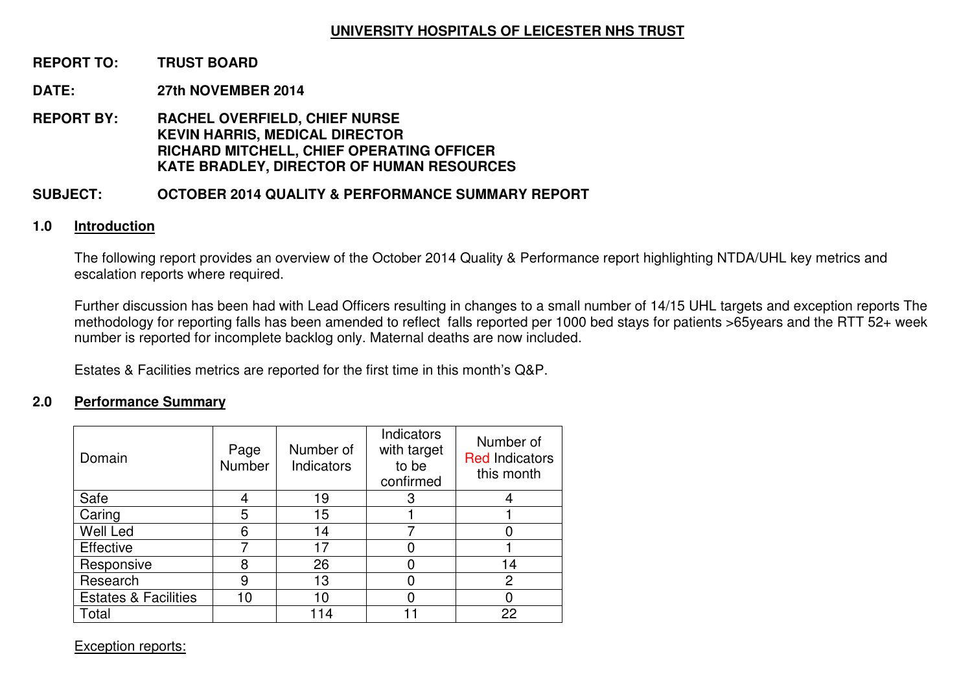#### **UNIVERSITY HOSPITALS OF LEICESTER NHS TRUST**

#### **REPORT TO: TRUST BOARD**

#### **DATE: 27th NOVEMBER 2014**

**REPORT BY: RACHEL OVERFIELD, CHIEF NURSE KEVIN HARRIS, MEDICAL DIRECTOR RICHARD MITCHELL, CHIEF OPERATING OFFICER KATE BRADLEY, DIRECTOR OF HUMAN RESOURCES** 

#### **SUBJECT: OCTOBER 2014 QUALITY & PERFORMANCE SUMMARY REPORT**

#### **1.0 Introduction**

The following report provides an overview of the October 2014 Quality & Performance report highlighting NTDA/UHL key metrics and escalation reports where required.

Further discussion has been had with Lead Officers resulting in changes to a small number of 14/15 UHL targets and exception reports The methodology for reporting falls has been amended to reflect falls reported per 1000 bed stays for patients >65years and the RTT 52+ week number is reported for incomplete backlog only. Maternal deaths are now included.

Estates & Facilities metrics are reported for the first time in this month's Q&P.

#### **2.0 Performance Summary**

| Domain                          | Page<br>Number | Number of<br>Indicators | <b>Indicators</b><br>with target<br>to be<br>confirmed | Number of<br><b>Red Indicators</b><br>this month |
|---------------------------------|----------------|-------------------------|--------------------------------------------------------|--------------------------------------------------|
| Safe                            |                | 19                      | 3                                                      |                                                  |
| Caring                          | 5              | 15                      |                                                        |                                                  |
| Well Led                        | 6              | 14                      |                                                        |                                                  |
| Effective                       |                | 17                      |                                                        |                                                  |
| Responsive                      | 8              | 26                      |                                                        | 14                                               |
| Research                        | 9              | 13                      |                                                        | 2                                                |
| <b>Estates &amp; Facilities</b> | 10             | 10                      |                                                        |                                                  |
| Total                           |                | 14                      |                                                        | 22                                               |

Exception reports: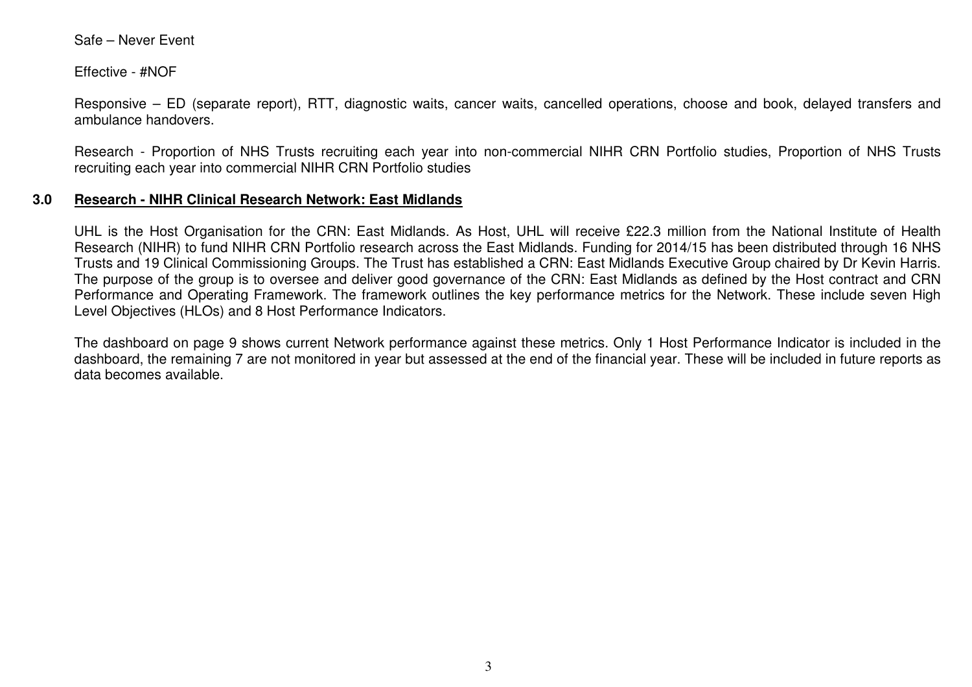Safe – Never Event

Effective - #NOF

Responsive – ED (separate report), RTT, diagnostic waits, cancer waits, cancelled operations, choose and book, delayed transfers and ambulance handovers.

Research - Proportion of NHS Trusts recruiting each year into non-commercial NIHR CRN Portfolio studies, Proportion of NHS Trusts recruiting each year into commercial NIHR CRN Portfolio studies

#### **3.0 Research - NIHR Clinical Research Network: East Midlands**

UHL is the Host Organisation for the CRN: East Midlands. As Host, UHL will receive £22.3 million from the National Institute of Health Research (NIHR) to fund NIHR CRN Portfolio research across the East Midlands. Funding for 2014/15 has been distributed through 16 NHS Trusts and 19 Clinical Commissioning Groups. The Trust has established a CRN: East Midlands Executive Group chaired by Dr Kevin Harris. The purpose of the group is to oversee and deliver good governance of the CRN: East Midlands as defined by the Host contract and CRN Performance and Operating Framework. The framework outlines the key performance metrics for the Network. These include seven High Level Objectives (HLOs) and 8 Host Performance Indicators.

The dashboard on page 9 shows current Network performance against these metrics. Only 1 Host Performance Indicator is included in the dashboard, the remaining 7 are not monitored in year but assessed at the end of the financial year. These will be included in future reports as data becomes available.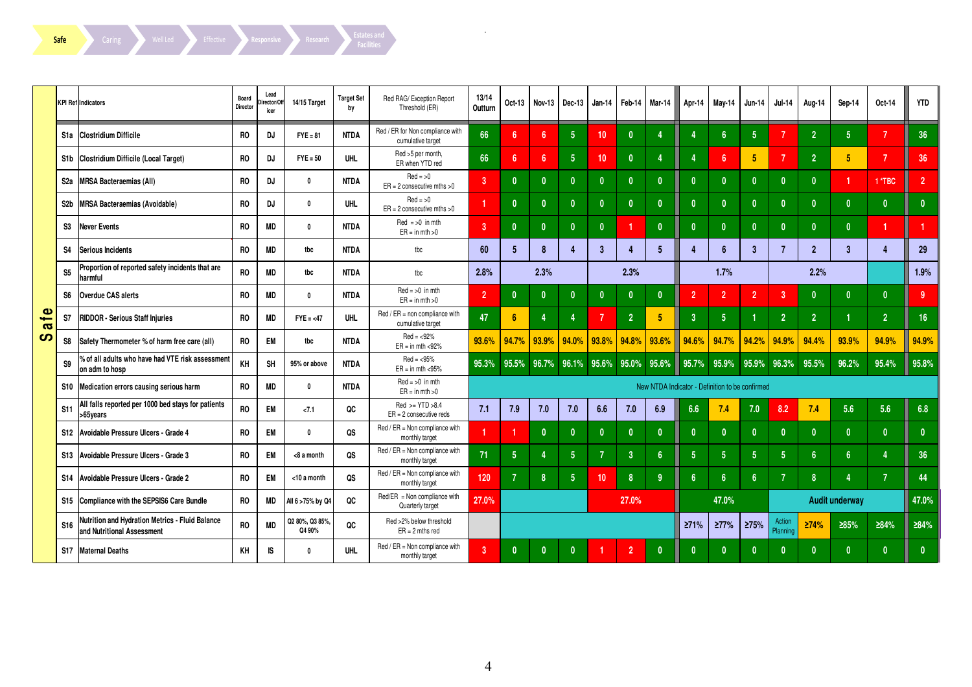Safe Caring Well Led Effective Responsive Research Estates and Facilities

|                                    |                  | <b>KPI Ref Indicators</b>                                                     | Board<br>Director | Lead<br>irector/Off<br>icer | 14/15 Target              | <b>Target Set</b><br>by | Red RAG/ Exception Report<br>Threshold (ER)           | 13/14<br>Outturn | Oct-13          | <b>Nov-13</b>           | Dec-13          | Jan-14       | Feb-14         | Mar-14          | Apr-14          | May-14                                          | <b>Jun-14</b>  | <b>Jul-14</b>             | Aug-14           | Sep-14                | Oct-14         | <b>YTD</b>      |
|------------------------------------|------------------|-------------------------------------------------------------------------------|-------------------|-----------------------------|---------------------------|-------------------------|-------------------------------------------------------|------------------|-----------------|-------------------------|-----------------|--------------|----------------|-----------------|-----------------|-------------------------------------------------|----------------|---------------------------|------------------|-----------------------|----------------|-----------------|
|                                    |                  | S1a Clostridium Difficile                                                     | <b>RO</b>         | <b>DJ</b>                   | $FYE = 81$                | <b>NTDA</b>             | Red / ER for Non compliance with<br>cumulative target | 66               | 6               | ĥ.                      | 5 <sub>5</sub>  | 10           | $\mathbf{0}$   |                 | 4               | 6                                               | 5 <sup>5</sup> | 7                         | $\overline{2}$   | 5 <sup>5</sup>        | 7              | 36              |
|                                    |                  | S1b Clostridium Difficile (Local Target)                                      | RO.               | <b>DJ</b>                   | $FYE = 50$                | <b>UHL</b>              | Red >5 per month,<br>ER when YTD red                  | 66               | 6               | 6                       | 5 <sup>1</sup>  | 10           | $\mathbf{0}$   | Δ               | 4               | 6                                               | 5              | 7                         | $\overline{2}$   | 5                     | $\overline{7}$ | 36              |
|                                    | S2a              | <b>MRSA Bacteraemias (All)</b>                                                | <b>RO</b>         | <b>DJ</b>                   | $\mathbf 0$               | <b>NTDA</b>             | $Red = >0$<br>$ER = 2$ consecutive mths $>0$          | $\overline{3}$   | $\mathbf{0}$    |                         | $\mathbf{0}$    | $\mathbf{0}$ | $\mathbf{0}$   | $\mathbf{0}$    | $\mathbf{0}$    | $\mathbf{0}$                                    | $\mathbf{0}$   | $\mathbf{0}$              | $\mathbf{0}$     |                       | 1*TBC          | 2 <sup>1</sup>  |
|                                    | S <sub>2</sub> b | MRSA Bacteraemias (Avoidable)                                                 | <b>RO</b>         | DJ                          | $\mathbf{0}$              | <b>UHL</b>              | $Red = >0$<br>$ER = 2$ consecutive mths $>0$          |                  | $\mathbf{0}$    |                         | $\mathbf{0}$    | $\mathbf{0}$ | $\mathbf{0}$   | $\mathbf{0}$    | $\mathbf{0}$    | $\mathbf{0}$                                    | $\mathbf{0}$   | $\mathbf{0}$              | $\mathbf{0}$     | $\mathbf{0}$          | $\mathbf{0}$   | $\mathbf{0}$    |
|                                    | S3               | <b>Never Events</b>                                                           | R <sub>0</sub>    | <b>MD</b>                   | $\mathbf{0}$              | <b>NTDA</b>             | $Red = >0$ in mth<br>$ER = in mth > 0$                | $\overline{3}$   | $\mathbf{0}$    |                         | $\mathbf{0}$    | $\mathbf{0}$ |                | $\mathbf{0}$    | $\mathbf{0}$    | $\mathbf{0}$                                    | $\mathbf{0}$   | $\mathbf{0}$              | $\mathbf{0}$     | $\mathbf{0}$          |                | $\mathbf{1}$    |
|                                    | S <sub>4</sub>   | <b>Serious Incidents</b>                                                      | R <sub>0</sub>    | <b>MD</b>                   | tbc                       | <b>NTDA</b>             | tbc                                                   | 60               | 5               | 8                       | $\overline{4}$  | 3            | $\overline{4}$ | 5               | 4               | 6                                               | $\overline{3}$ |                           | $\overline{2}$   | $\mathbf{3}$          |                | 29              |
|                                    | S <sub>5</sub>   | Proportion of reported safety incidents that are<br>harmful                   | RO.               | <b>MD</b>                   | tbc                       | <b>NTDA</b>             | tbc                                                   | 2.8%             |                 | 2.3%                    |                 |              | 2.3%           |                 |                 | 1.7%                                            |                |                           | 2.2%             |                       |                | 1.9%            |
|                                    | S <sub>6</sub>   | Overdue CAS alerts                                                            | R <sub>0</sub>    | MD                          | $\mathbf{0}$              | <b>NTDA</b>             | $Red = >0$ in mth<br>$ER = in mth > 0$                | $\overline{2}$   | $\mathbf{0}$    |                         | $\mathbf{0}$    | $\mathbf{0}$ | $\mathbf{0}$   | $\mathbf{0}$    | $\overline{2}$  | $\overline{2}$                                  | $\overline{2}$ | 3                         | $\mathbf{0}$     | $\mathbf{0}$          | $\mathbf{0}$   | 9               |
| $\bullet$<br>$\boldsymbol{\sigma}$ | S7               | <b>RIDDOR - Serious Staff Injuries</b>                                        | RO                | <b>MD</b>                   | $FYE = < 47$              | <b>UHL</b>              | $Red / ER = non combiance with$<br>cumulative target  | 47               | $6\phantom{1}6$ |                         | 4               |              | 2 <sup>1</sup> | 5               | $\overline{3}$  | 5                                               |                | $\overline{2}$            | $\overline{2}$   |                       | $\overline{2}$ | 16 <sup>°</sup> |
| ၯ                                  | S <sub>8</sub>   | Safety Thermometer % of harm free care (all)                                  | RO                | EM                          | tbc                       | <b>NTDA</b>             | $Red = 92\%$<br>$ER = in mth < 92\%$                  | 93.6%            | 94.7%           | 93.9%                   | 94.0%           | 93.8%        | 94.8%          | 93.6%           | 94.6%           | 94.7%                                           | 94.2%          | 94.9%                     | 94.4%            | 93.9%                 | 94.9%          | 94.9%           |
|                                    | S9               | % of all adults who have had VTE risk assessment<br>on adm to hosp            | KH                | SH                          | 95% or above              | <b>NTDA</b>             | $Red = < 95%$<br>$ER = in mth < 95%$                  | 95.3%            |                 | 95.5% 96.7% 96.1% 95.6% |                 |              | 95.0%          | 95.6%           | 95.7%           | 95.9%                                           | 95.9%          | 96.3%                     | 95.5%            | 96.2%                 | 95.4%          | 95.8%           |
|                                    |                  | S10 Medication errors causing serious harm                                    | <b>RO</b>         | <b>MD</b>                   | $\mathbf 0$               | <b>NTDA</b>             | $Red = >0$ in mth<br>$ER = in mth > 0$                |                  |                 |                         |                 |              |                |                 |                 | New NTDA Indicator - Definition to be confirmed |                |                           |                  |                       |                |                 |
|                                    | <b>S11</b>       | All falls reported per 1000 bed stays for patients<br>>65years                | <b>RO</b>         | <b>EM</b>                   | 27.1                      | QC                      | $Red > = YTD > 8.4$<br>$ER = 2$ consecutive reds      | 7.1              | 7.9             | 7.0                     | 7.0             | 6.6          | 7.0            | 6.9             | 6.6             | 7.4                                             | 7.0            | 8.2                       | 7.4              | 5.6                   | 5.6            | 6.8             |
|                                    | <b>S12</b>       | Avoidable Pressure Ulcers - Grade 4                                           | RO.               | <b>EM</b>                   | $\mathbf 0$               | QS                      | Red / ER = Non compliance with<br>monthly target      |                  |                 |                         | $\mathbf{0}$    | $\mathbf{0}$ | $\mathbf{0}$   | $\mathbf{0}$    | $\mathbf{0}$    | $\mathbf{0}$                                    | $\mathbf{0}$   | -0                        | $\mathbf{0}$     | $\mathbf{0}$          | $\mathbf{0}$   | $\pmb{0}$       |
|                                    | <b>S13</b>       | Avoidable Pressure Ulcers - Grade 3                                           | <b>RO</b>         | <b>EM</b>                   | <8 a month                | QS                      | Red / ER = Non compliance with<br>monthly target      | 71               | $5\phantom{.0}$ |                         | $5\phantom{.0}$ | 7            | 3 <sup>1</sup> | $6\overline{6}$ | $5\phantom{.0}$ | 5                                               | $\sqrt{5}$     | 5                         | $6\phantom{1}6$  | 6 <sup>5</sup>        | $\overline{4}$ | 36              |
|                                    |                  | S14 Avoidable Pressure Ulcers - Grade 2                                       | RO.               | <b>EM</b>                   | $<$ 10 a month            | QS                      | Red / ER = Non compliance with<br>monthly target      | 120              | $\overline{7}$  | 8                       | $\overline{5}$  | 10           | 8 <sup>°</sup> | 9               | $6\phantom{a}$  | 6                                               | $6\phantom{a}$ | -7                        | $\boldsymbol{8}$ | $\overline{4}$        | $\overline{7}$ | 44              |
|                                    |                  | S15 Compliance with the SEPSIS6 Care Bundle                                   | <b>RO</b>         | <b>MD</b>                   | All 6 >75% by Q4          | QC                      | Red/ER = Non compliance with<br>Quarterly target      | 27.0%            |                 |                         |                 |              | 27.0%          |                 |                 | 47.0%                                           |                |                           |                  | <b>Audit underway</b> |                | 47.0%           |
|                                    | <b>S16</b>       | Nutrition and Hydration Metrics - Fluid Balance<br>and Nutritional Assessment | <b>RO</b>         | <b>MD</b>                   | Q2 80%, Q3 85%,<br>Q4 90% | QC                      | Red >2% below threshold<br>$ER = 2$ mths red          |                  |                 |                         |                 |              |                |                 | 271%            | 277%                                            | ≥75%           | <b>Action</b><br>Planning | 274%             | ≥85%                  | 284%           | 284%            |
|                                    | <b>S17</b>       | <b>Maternal Deaths</b>                                                        | KH                | IS                          | $\mathbf 0$               | <b>UHL</b>              | Red / ER = Non compliance with<br>monthly target      | $\overline{3}$   | $\mathbf{0}$    |                         | $\mathbf{0}$    |              | $\overline{2}$ | $\mathbf{0}$    | $\mathbf{0}$    |                                                 | $\mathbf{0}$   |                           | $\mathbf{0}$     | $\mathbf{0}$          | $\mathbf{0}$   | $\mathbf{0}$    |

 $\alpha$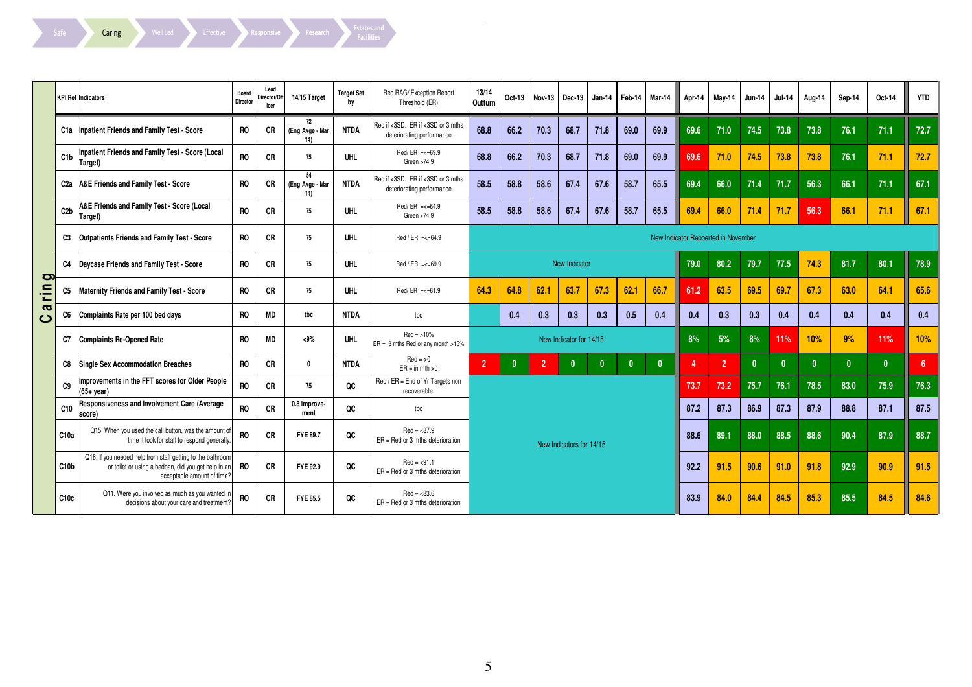| ۰ |     |  |  |  |
|---|-----|--|--|--|
|   |     |  |  |  |
|   |     |  |  |  |
|   |     |  |  |  |
|   | ate |  |  |  |
|   |     |  |  |  |
|   |     |  |  |  |

Safe **Caring** Well Led Effective Responsive Research Estates and Facilities

|                            |                  | <b>KPI Ref Indicators</b>                                                                                                                       | Board<br>Director | Lead<br>Director/Of<br>icer | 14/15 Target                 | <b>Target Set</b><br>by | Red RAG/Exception Report<br>Threshold (ER)                     | 13/14<br>Outturn | Oct-13       | Nov-13         | Dec-13                   | Jan-14       | Feb-14       | Mar-14       | Apr-14 | Mav-14                              | <b>Jun-14</b> | <b>Jul-14</b> | Aug-14       | Sep-14       | Oct-14       | <b>YTD</b>     |
|----------------------------|------------------|-------------------------------------------------------------------------------------------------------------------------------------------------|-------------------|-----------------------------|------------------------------|-------------------------|----------------------------------------------------------------|------------------|--------------|----------------|--------------------------|--------------|--------------|--------------|--------|-------------------------------------|---------------|---------------|--------------|--------------|--------------|----------------|
|                            |                  | C1a   Inpatient Friends and Family Test - Score                                                                                                 | <b>RO</b>         | <b>CR</b>                   | 72<br>(Eng Avge - Mar<br>14) | <b>NTDA</b>             | Red if <3SD. ER if <3SD or 3 mths<br>deteriorating performance | 68.8             | 66.2         | 70.3           | 68.7                     | 71.8         | 69.0         | 69.9         | 69.6   | 71.0                                | 74.5          | 73.8          | 73.8         | 76.1         | 71.1         | 72.7           |
|                            | C1b              | Inpatient Friends and Family Test - Score (Local<br>Target)                                                                                     | <b>RO</b>         | CR                          | 75                           | <b>UHL</b>              | $Red/ER = < 69.9$<br>Green $>74.9$                             | 68.8             | 66.2         | 70.3           | 68.7                     | 71.8         | 69.0         | 69.9         | 69.6   | 71.0                                | 74.5          | 73.8          | 73.8         | 76.1         | 71.1         | 72.7           |
|                            | C2a              | A&E Friends and Family Test - Score                                                                                                             | <b>RO</b>         | CR                          | 54<br>(Eng Avge - Mar<br>14) | <b>NTDA</b>             | Red if <3SD. ER if <3SD or 3 mths<br>deteriorating performance | 58.5             | 58.8         | 58.6           | 67.4                     | 67.6         | 58.7         | 65.5         | 69.4   | 66.0                                | 71.4          | 71.7          | 56.3         | 66.1         | 71.1         | 67.1           |
|                            | C2b              | A&E Friends and Family Test - Score (Local<br>Target)                                                                                           | <b>RO</b>         | CR                          | 75                           | <b>UHL</b>              | $Red/ER = < 64.9$<br>Green >74.9                               | 58.5             | 58.8         | 58.6           | 67.4                     | 67.6         | 58.7         | 65.5         | 69.4   | 66.0                                | 71.4          | 71.7          | 56.3         | 66.1         | 71.1         | 67.1           |
|                            | C3               | <b>Outpatients Friends and Family Test - Score</b>                                                                                              | <b>RO</b>         | CR                          | 75                           | <b>UHL</b>              | $Red / ER = < 64.9$                                            |                  |              |                |                          |              |              |              |        | New Indicator Repoerted in November |               |               |              |              |              |                |
| þ                          | C <sub>4</sub>   | Daycase Friends and Family Test - Score                                                                                                         | R <sub>0</sub>    | CR                          | 75                           | <b>UHL</b>              | $Red / ER = < 69.9$                                            |                  |              |                | New Indicator            |              |              |              | 79.0   | 80.2                                | 79.7          | 77.5          | 74.3         | 81.7         | 80.1         | 78.9           |
| rin                        | C <sub>5</sub>   | Maternity Friends and Family Test - Score                                                                                                       | <b>RO</b>         | CR                          | 75                           | <b>UHL</b>              | $Red/ER = < 61.9$                                              | 64.3             | 64.8         | 62.1           | 63.7                     | 67.3         | 62.1         | 66.7         | 61.2   | 63.5                                | 69.5          | 69.7          | 67.3         | 63.0         | 64.1         | 65.6           |
| $\boldsymbol{\sigma}$<br>ပ | C6               | Complaints Rate per 100 bed days                                                                                                                | <b>RO</b>         | MD                          | tbc                          | <b>NTDA</b>             | tbc                                                            |                  | 0.4          | 0.3            | 0.3                      | 0.3          | 0.5          | 0.4          | 0.4    | 0.3                                 | 0.3           | 0.4           | 0.4          | 0.4          | 0.4          | 0.4            |
|                            | C7               | Complaints Re-Opened Rate                                                                                                                       | <b>RO</b>         | MD                          | $< 9\%$                      | UHL                     | $Red = >10%$<br>$ER = 3$ mths Red or any month >15%            |                  |              |                | New Indicator for 14/15  |              |              |              | 8%     | 5%                                  | 8%            | 11%           | 10%          | 9%           | 11%          | 10%            |
|                            | C8               | Single Sex Accommodation Breaches                                                                                                               | RO.               | CR                          | 0                            | NTDA                    | $Red = >0$<br>$ER = in mth > 0$                                | $\overline{2}$   | $\mathbf{0}$ | $\overline{2}$ | $\mathbf{0}$             | $\mathbf{0}$ | $\mathbf{0}$ | $\mathbf{0}$ | Δ      | 2                                   | $\mathbf{0}$  | - 0           | $\mathbf{0}$ | $\mathbf{0}$ | $\mathbf{0}$ | 6 <sup>1</sup> |
|                            | C <sub>9</sub>   | Improvements in the FFT scores for Older People<br>(65+ vear)                                                                                   | <b>RO</b>         | CR                          | 75                           | QC                      | Red / ER = End of Yr Targets non<br>recoverable.               |                  |              |                |                          |              |              |              | 73.7   | 73.2                                | 75.7          | 76.1          | 78.5         | 83.0         | 75.9         | 76.3           |
|                            | C10              | Responsiveness and Involvement Care (Average<br>score)                                                                                          | <b>RO</b>         | CR                          | 0.8 improve-<br>ment         | QC                      | tbc                                                            |                  |              |                |                          |              |              |              | 87.2   | 87.3                                | 86.9          | 87.3          | 87.9         | 88.8         | 87.1         | 87.5           |
|                            | C10a             | Q15. When you used the call button, was the amount of<br>time it took for staff to respond generally:                                           | <b>RO</b>         | CR                          | <b>FYE 89.7</b>              | QC                      | $Red = 87.9$<br>$ER = Red$ or 3 mths deterioration             |                  |              |                | New Indicators for 14/15 |              |              |              | 88.6   | 89.1                                | 88.0          | 88.5          | 88.6         | 90.4         | 87.9         | 88.7           |
|                            | C10 <sub>b</sub> | Q16. If you needed help from staff getting to the bathroom<br>or toilet or using a bedpan, did you get help in an<br>acceptable amount of time? | <b>RO</b>         | <b>CR</b>                   | FYE 92.9                     | QC                      | $Red = 91.1$<br>$ER = Red$ or 3 mths deterioration             |                  |              |                |                          |              |              |              | 92.2   | 91.5                                | 90.6          | 91.0          | 91.8         | 92.9         | 90.9         | 91.5           |
|                            | C10c             | Q11. Were you involved as much as you wanted in<br>decisions about your care and treatment?                                                     | <b>RO</b>         | CR                          | FYE 85.5                     | QC                      | $Red = 83.6$<br>$ER = Red$ or 3 mths deterioration             |                  |              |                |                          |              |              |              | 83.9   | 84.0                                | 84.4          | 84.5          | 85.3         | 85.5         | 84.5         | 84.6           |

 $\sim$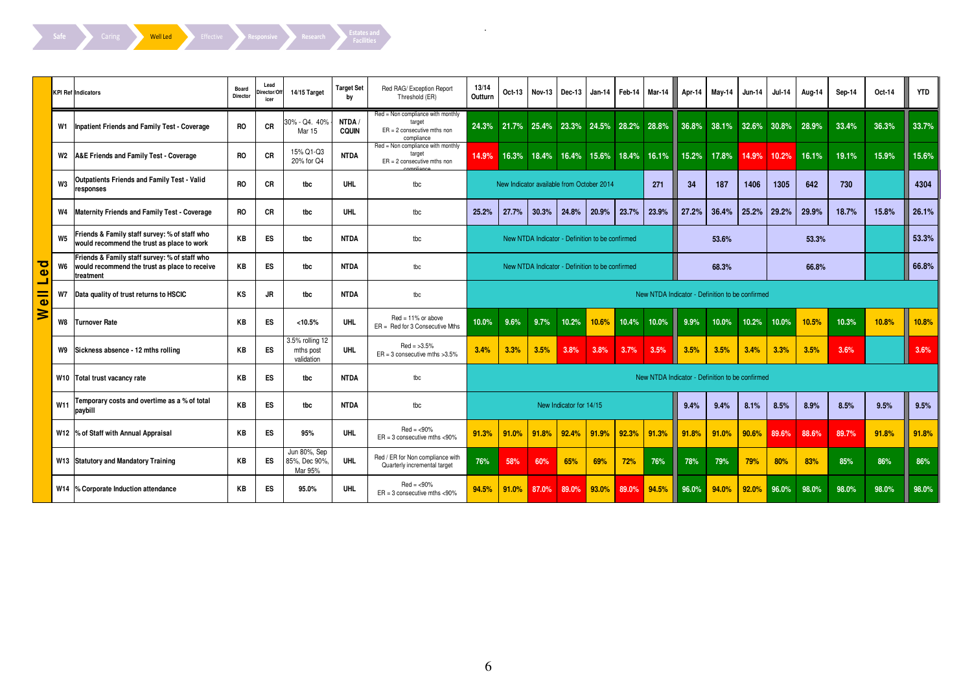Safe Caring Well Led Effective Responsive Research Estates and

|                      |                | <b>KPI Ref Indicators</b>                                                                                   | Board<br><b>Director</b> | Lead<br>Director/Off<br>icer | 14/15 Target                               | <b>Target Set</b><br>bν | Red RAG/ Exception Report<br>Threshold (ER)                                                | 13/14<br>Outturn | Oct-13                                    | Nov-13 | Dec-13                  | Jan-14                                          | Feb-14 | Mar-14                                    | Apr-14                                          | May-14                  | Jun-14 | <b>Jul-14</b> | Aug-14 | Sep-14 | Oct-14 | <b>YTD</b> |
|----------------------|----------------|-------------------------------------------------------------------------------------------------------------|--------------------------|------------------------------|--------------------------------------------|-------------------------|--------------------------------------------------------------------------------------------|------------------|-------------------------------------------|--------|-------------------------|-------------------------------------------------|--------|-------------------------------------------|-------------------------------------------------|-------------------------|--------|---------------|--------|--------|--------|------------|
|                      |                | W1   Inpatient Friends and Family Test - Coverage                                                           | <b>RO</b>                | CR                           | 30% - Q4. 40%<br>Mar 15                    | NTDA /<br><b>CQUIN</b>  | Red = Non compliance with monthly<br>target<br>$ER = 2$ consecutive mths non<br>compliance |                  |                                           |        |                         |                                                 |        | 24.3% 21.7% 25.4% 23.3% 24.5% 28.2% 28.8% |                                                 | 36.8% 38.1% 32.6% 30.8% |        |               | 28.9%  | 33.4%  | 36.3%  | 33.7%      |
|                      |                | W2 A&E Friends and Family Test - Coverage                                                                   | <b>RO</b>                | CR                           | 15% Q1-Q3<br>20% for Q4                    | <b>NTDA</b>             | Red = Non compliance with monthly<br>target<br>$ER = 2$ consecutive mths non               | 14.9%            |                                           |        |                         |                                                 |        | 16.3% 18.4% 16.4% 15.6% 18.4% 16.1% I     |                                                 | 15.2% 17.8%             | 14.9%  | 10.2%         | 16.1%  | 19.1%  | 15.9%  | 15.6%      |
|                      | W <sub>3</sub> | <b>Outpatients Friends and Family Test - Valid</b><br>responses                                             | <b>RO</b>                | CR                           | tbc                                        | <b>UHL</b>              | tbc                                                                                        |                  | New Indicator available from October 2014 |        |                         |                                                 |        | 271                                       | 34                                              | 187                     | 1406   | 1305          | 642    | 730    |        | 4304       |
|                      |                | W4 Maternity Friends and Family Test - Coverage                                                             | <b>RO</b>                | CR                           | tbc                                        | <b>UHL</b>              | tbc                                                                                        | 25.2%            | 27.7%                                     | 30.3%  | 24.8%                   | 20.9%                                           | 23.7%  | 23.9%                                     | 27.2%                                           | 36.4%                   | 25.2%  | 29.2%         | 29.9%  | 18.7%  | 15.8%  | 26.1%      |
|                      | W <sub>5</sub> | Friends & Family staff survey: % of staff who<br>would recommend the trust as place to work                 | KB                       | ES                           | tbc                                        | <b>NTDA</b>             | tbc                                                                                        |                  |                                           |        |                         | New NTDA Indicator - Definition to be confirmed |        |                                           |                                                 | 53.6%                   |        |               | 53.3%  |        |        | 53.3%      |
| ਠ<br>$\bullet$<br>┙  | W6             | Friends & Family staff survey: % of staff who<br>would recommend the trust as place to receive<br>treatment | KB                       | <b>ES</b>                    | tbc                                        | <b>NTDA</b>             | tbc                                                                                        |                  |                                           |        |                         | New NTDA Indicator - Definition to be confirmed |        |                                           |                                                 | 68.3%                   |        |               | 66.8%  |        |        | 66.8%      |
| $\overline{\bullet}$ | <b>W7</b>      | Data quality of trust returns to HSCIC                                                                      | KS                       | JR                           | tbc                                        | <b>NTDA</b>             | tbc                                                                                        |                  |                                           |        |                         |                                                 |        |                                           | New NTDA Indicator - Definition to be confirmed |                         |        |               |        |        |        |            |
| ≽                    | W8             | Turnover Rate                                                                                               | KB                       | ES                           | < 10.5%                                    | <b>UHL</b>              | $Red = 11%$ or above<br>$ER = Red$ for 3 Consecutive Mths                                  | 10.0%            | 9.6%                                      | 9.7%   | 10.2%                   | 10.6%                                           | 10.4%  | 10.0%                                     | 9.9%                                            | 10.0%                   | 10.2%  | 10.0%         | 10.5%  | 10.3%  | 10.8%  | 10.8%      |
|                      |                | W9 Sickness absence - 12 mths rolling                                                                       | KB                       | ES                           | 3.5% rolling 12<br>mths post<br>validation | <b>UHL</b>              | $Red = >3.5\%$<br>$ER = 3$ consecutive mths $>3.5\%$                                       | 3.4%             | 3.3%                                      | 3.5%   | 3.8%                    | 3.8%                                            | 3.7%   | 3.5%                                      | 3.5%                                            | 3.5%                    | 3.4%   | 3.3%          | 3.5%   | 3.6%   |        | 3.6%       |
|                      |                | W <sub>10</sub> Total trust vacancy rate                                                                    | KB                       | ES                           | tbc                                        | <b>NTDA</b>             | tbc                                                                                        |                  |                                           |        |                         |                                                 |        |                                           | New NTDA Indicator - Definition to be confirmed |                         |        |               |        |        |        |            |
|                      | W11            | Temporary costs and overtime as a % of total<br>paybill                                                     | KB                       | <b>ES</b>                    | tbc                                        | <b>NTDA</b>             | tbc                                                                                        |                  |                                           |        | New Indicator for 14/15 |                                                 |        |                                           | 9.4%                                            | 9.4%                    | 8.1%   | 8.5%          | 8.9%   | 8.5%   | 9.5%   | 9.5%       |
|                      |                | W12 % of Staff with Annual Appraisal                                                                        | KB                       | ES                           | 95%                                        | <b>UHL</b>              | $Red = < 90\%$<br>$ER = 3$ consecutive mths <90%                                           | 91.3%            | 91.0%                                     | 91.8%  | 92.4%                   | 91.9%                                           | 92.3%  | 91.3%                                     | 91.8%                                           | 91.0%                   | 90.6%  | 89.6%         | 88.6%  | 89.7%  | 91.8%  | 91.8%      |
|                      |                | W13 Statutory and Mandatory Training                                                                        | KB                       | ES                           | Jun 80%, Sep<br>85%, Dec 90%,<br>Mar 95%   | <b>UHL</b>              | Red / ER for Non compliance with<br>Quarterly incremental target                           | 76%              | 58%                                       | 60%    | 65%                     | 69%                                             | 72%    | 76%                                       | 78%                                             | 79%                     | 79%    | 80%           | 83%    | 85%    | 86%    | 86%        |
|                      |                | W14 % Corporate Induction attendance                                                                        | KB                       | ES                           | 95.0%                                      | <b>UHL</b>              | $Red = < 90\%$<br>$ER = 3$ consecutive mths <90%                                           | 94.5%            | 91.0%                                     | 87.0%  | 89.0%                   | 93.0%                                           | 89.0%  | 94.5%                                     | 96.0%                                           | 94.0%                   | 92.0%  | 96.0%         | 98.0%  | 98.0%  | 98.0%  | 98.0%      |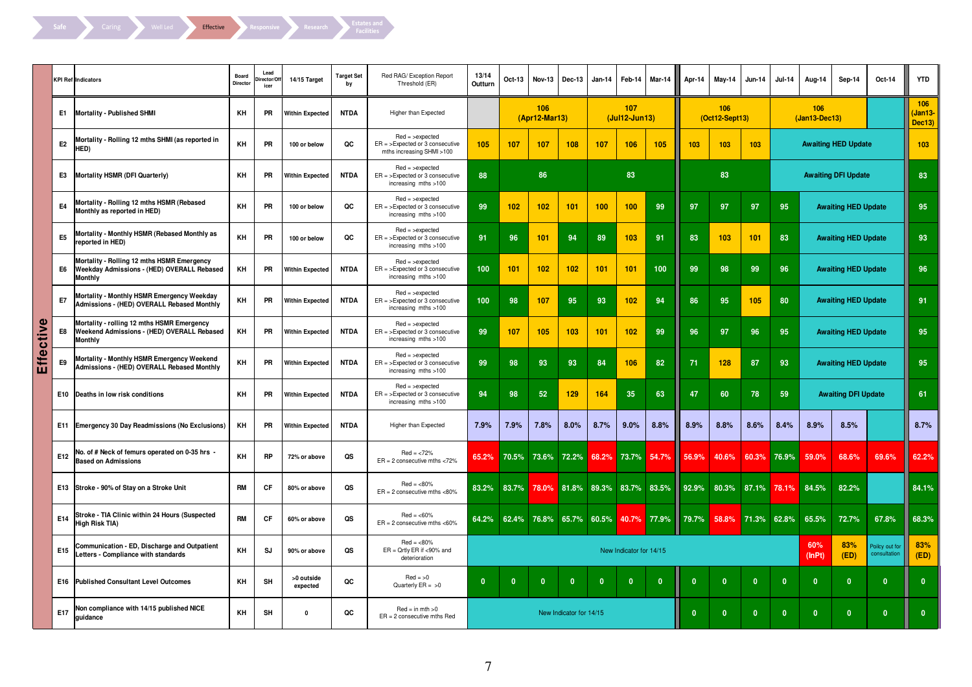

|       |                | KPI Ref Indicators                                                                                         | Board<br>Director | Lead<br>irector/Of<br>icer | 14/15 Target           | <b>Target Set</b><br>bv | Red RAG/ Exception Report<br>Threshold (ER)                                         | 13/14<br>Outturn | Oct-13       | <b>Nov-13</b>        | Dec-13                  | <b>Jan-14</b>     | Feb-14                  | Mar-14       | Apr-14       | May-14                  | <b>Jun-14</b>           | <b>Jul-14</b> | Aug-14                 | Sep-14                     | Oct-14                         | <b>YTD</b>              |
|-------|----------------|------------------------------------------------------------------------------------------------------------|-------------------|----------------------------|------------------------|-------------------------|-------------------------------------------------------------------------------------|------------------|--------------|----------------------|-------------------------|-------------------|-------------------------|--------------|--------------|-------------------------|-------------------------|---------------|------------------------|----------------------------|--------------------------------|-------------------------|
|       | E1             | Mortality - Published SHMI                                                                                 | KH                | PR                         | <b>Within Expected</b> | <b>NTDA</b>             | Higher than Expected                                                                |                  |              | 106<br>(Apr12-Mar13) |                         |                   | 107<br>(Jul12-Jun13)    |              |              | 106<br>$(Oct12-Sept13)$ |                         |               | 106<br>$(Jan13-Dec13)$ |                            |                                | 106<br>Jan13-<br>Dec13) |
|       | E <sub>2</sub> | Mortality - Rolling 12 mths SHMI (as reported in<br>HED)                                                   | KH                | PR                         | 100 or below           | QC                      | $Red =$ >expected<br>$ER =$ >Expected or 3 consecutive<br>mths increasing SHMI >100 | 105              | 107          | 107                  | 108                     | 107               | 106                     | 105          | 103          | 103                     | 103                     |               |                        | <b>Awaiting HED Update</b> |                                | 103                     |
|       | E3             | Mortality HSMR (DFI Quarterly)                                                                             | KH                | PR                         | Within Expected        | <b>NTDA</b>             | $Red =$ >expected<br>$ER =$ > Expected or 3 consecutive<br>increasing mths >100     | 88               |              | 86                   |                         |                   | 83                      |              |              | 83                      |                         |               |                        | <b>Awaiting DFI Update</b> |                                | 83                      |
|       | E4             | Mortality - Rolling 12 mths HSMR (Rebased<br>Monthly as reported in HED)                                   | KH                | PR                         | 100 or below           | QC                      | $Red =$ >expected<br>$ER =$ >Expected or 3 consecutive<br>increasing mths >100      | 99               | 102          | 102                  | 101                     | 100               | 100                     | 99           | 97           | 97                      | 97                      | 95            |                        | <b>Awaiting HED Update</b> |                                | 95                      |
|       | E <sub>5</sub> | Mortality - Monthly HSMR (Rebased Monthly as<br>reported in HED)                                           | KH                | PR                         | 100 or below           | QC                      | $Red =$ >expected<br>$ER =$ >Expected or 3 consecutive<br>increasing mths >100      | 91               | 96           | 101                  | 94                      | 89                | 103                     | 91           | 83           | 103                     | 101                     | 83            |                        | <b>Awaiting HED Update</b> |                                | 93                      |
|       | E6             | Mortality - Rolling 12 mths HSMR Emergency<br>Weekday Admissions - (HED) OVERALL Rebased<br><b>Monthly</b> | KH                | PR                         | <b>Within Expected</b> | <b>NTDA</b>             | $Red =$ >expected<br>$ER =$ >Expected or 3 consecutive<br>increasing mths >100      | 100              | 101          | 102                  | 102                     | 101               | 101                     | 100          | 99           | 98                      | 99                      | 96            |                        | <b>Awaiting HED Update</b> |                                | 96                      |
|       | E7             | Mortality - Monthly HSMR Emergency Weekday<br>Admissions - (HED) OVERALL Rebased Monthly                   | KH                | PR                         | <b>Within Expected</b> | <b>NTDA</b>             | $Red =$ >expected<br>$ER =$ > Expected or 3 consecutive<br>increasing mths >100     | 100              | 98           | 107                  | 95                      | 93                | 102                     | 94           | 86           | 95                      | 105                     | 80            |                        | <b>Awaiting HED Update</b> |                                | 91                      |
| ctive | E8             | Mortality - rolling 12 mths HSMR Emergency<br>Weekend Admissions - (HED) OVERALL Rebased<br><b>Monthly</b> | KH                | PR                         | Within Expected        | <b>NTDA</b>             | $Red =$ >expected<br>$ER =$ > Expected or 3 consecutive<br>increasing mths >100     | 99               | 107          | 105                  | 103                     | 101               | 102                     | 99           | 96           | 97                      | 96                      | 95            |                        | <b>Awaiting HED Update</b> |                                | 95                      |
| Effe  | E9             | Mortality - Monthly HSMR Emergency Weekend<br>Admissions - (HED) OVERALL Rebased Monthly                   | KH                | PR                         | Within Expected        | <b>NTDA</b>             | $Red =$ >expected<br>$ER =$ >Expected or 3 consecutive<br>increasing mths >100      | 99               | 98           | 93                   | 93                      | 84                | 106                     | 82           | 71           | 128                     | 87                      | 93            |                        | <b>Awaiting HED Update</b> |                                | 95                      |
|       |                | E10 Deaths in low risk conditions                                                                          | KH                | PR                         | <b>Within Expected</b> | <b>NTDA</b>             | $Red =$ >expected<br>$ER =$ >Expected or 3 consecutive<br>increasing mths >100      | 94               | 98           | 52                   | 129                     | 164               | 35                      | 63           | 47           | 60                      | 78                      | 59            |                        | <b>Awaiting DFI Update</b> |                                | 61                      |
|       |                | E11 Emergency 30 Day Readmissions (No Exclusions)                                                          | KH                | PR                         | <b>Within Expected</b> | <b>NTDA</b>             | Higher than Expected                                                                | 7.9%             | 7.9%         | 7.8%                 | 8.0%                    | 8.7%              | 9.0%                    | 8.8%         | 8.9%         | 8.8%                    | 8.6%                    | 8.4%          | 8.9%                   | 8.5%                       |                                | 8.7%                    |
|       | <b>E12</b>     | No. of # Neck of femurs operated on 0-35 hrs -<br><b>Based on Admissions</b>                               | KH                | <b>RP</b>                  | 72% or above           | QS                      | $Red = <72\%$<br>$ER = 2$ consecutive mths <72%                                     | 65.2%            | 70.5%        |                      | 73.6% 72.2%             | 68.2%             | 73.7%                   | 54.7%        | 56.9%        | 40.6%                   | 60.3%                   | 76.9%         | 59.0%                  | 68.6%                      | 69.6%                          | 62.2%                   |
|       |                | E13 Stroke - 90% of Stay on a Stroke Unit                                                                  | <b>RM</b>         | CF                         | 80% or above           | QS                      | $Red = <80\%$<br>$ER = 2$ consecutive mths <80%                                     | 83.2%            | 83.7%        | 78.0%                |                         | 81.8% 89.3% 83.7% |                         | 83.5%        | 92.9%        | 80.3%                   | 87.1%                   | 78.1%         | 84.5%                  | 82.2%                      |                                | 84.1%                   |
|       | E14            | Stroke - TIA Clinic within 24 Hours (Suspected<br>High Risk TIA)                                           | <b>RM</b>         | <b>CF</b>                  | 60% or above           | QS                      | $Red = < 60\%$<br>$ER = 2$ consecutive mths <60%                                    | 64.2%            | 62.4%        | 76.8%                |                         | 65.7% 60.5%       |                         | 40.7% 77.9%  | 79.7%        | 58.8%                   | 71.3%                   | 62.8%         | 65.5%                  | 72.7%                      | 67.8%                          | 68.3%                   |
|       | <b>E15</b>     | Communication - ED, Discharge and Outpatient<br>Letters - Compliance with standards                        | KH                | <b>SJ</b>                  | 90% or above           | QS                      | $Red = <80%$<br>$ER = Qrtly ER if < 90\%$ and<br>deterioration                      |                  |              |                      |                         |                   | New Indicator for 14/15 |              |              |                         |                         |               | 60%<br>(lnPt)          | 83%<br>(ED)                | Poilcy out for<br>consultation | 83%<br>(ED)             |
|       |                | <b>E16 Published Consultant Level Outcomes</b>                                                             | KH                | SH                         | >0 outside<br>expected | QC                      | $Red = >0$<br>Quarterly $ER = >0$                                                   | $\mathbf{0}$     | $\mathbf{0}$ | $\mathbf{0}$         | $\mathbf{0}$            | $\mathbf{0}$      | $\mathbf{0}$            | $\mathbf{0}$ | $\mathbf{0}$ | $\mathbf{0}$            | $\overline{\mathbf{0}}$ | $\Omega$      | $\mathbf{0}$           | $\mathbf{0}$               | $\mathbf{0}$                   | $\mathbf{0}$            |
|       | E17            | Non compliance with 14/15 published NICE<br>quidance                                                       | KH                | SH                         | $\mathbf 0$            | QC                      | $Red = in mth > 0$<br>$ER = 2$ consecutive mths Red                                 |                  |              |                      | New Indicator for 14/15 |                   |                         |              | $\mathbf{0}$ | $\mathbf{0}$            | $\mathbf{0}$            | $\mathbf{0}$  | $\mathbf{0}$           | $\mathbf{0}$               | $\mathbf{0}$                   | $\mathbf{0}$            |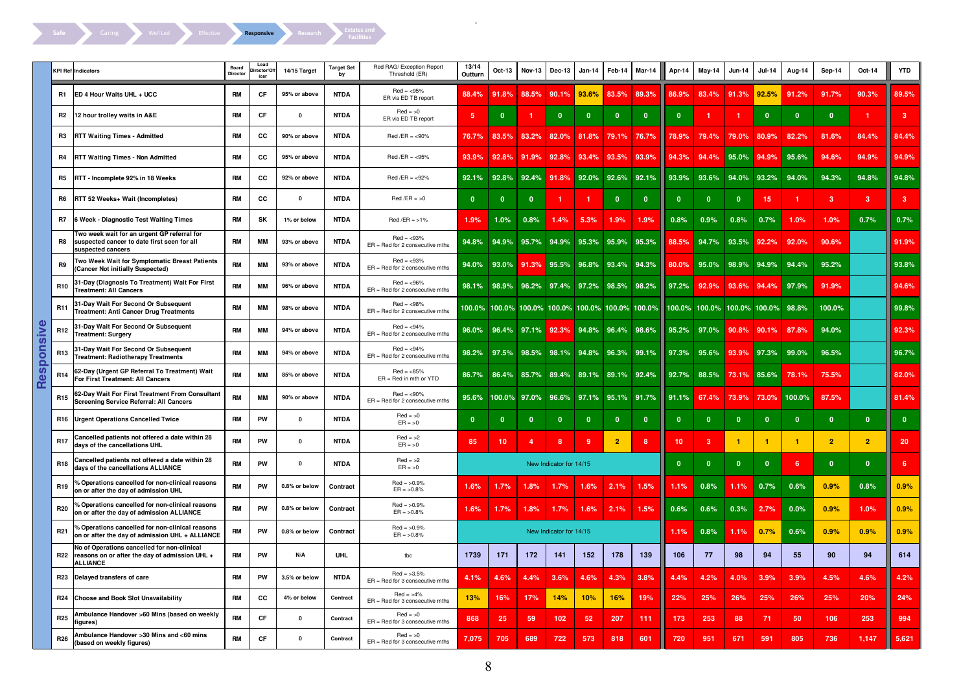

|                         |                 | <b>KPI Ref Indicators</b>                                                                                        | Board<br>Director | Lead<br>rector/Of<br>icer | 14/15 Target  | <b>Target Set</b><br>bγ | Red RAG/ Exception Report<br>Threshold (ER)         | 13/14<br>Outturn | Oct-13                                           | <b>Nov-13</b> | Dec-13                  | <b>Jan 14</b>           | Feb-14         | Mar-14                  | Apr-14          | May-14                            | <b>Jun-14</b> | <b>Jul-14</b> | Aug-14       | Sep-14         | Oct-14         | <b>YTD</b>      |
|-------------------------|-----------------|------------------------------------------------------------------------------------------------------------------|-------------------|---------------------------|---------------|-------------------------|-----------------------------------------------------|------------------|--------------------------------------------------|---------------|-------------------------|-------------------------|----------------|-------------------------|-----------------|-----------------------------------|---------------|---------------|--------------|----------------|----------------|-----------------|
|                         | R1              | ED 4 Hour Waits UHL + UCC                                                                                        | <b>RM</b>         | CF                        | 95% or above  | <b>NTDA</b>             | $Red = < 95\%$<br>ER via ED TB report               | 88.4%            | 91.8%                                            | 88.5%         | 90.1%                   | 93.6%                   | 83.5%          | 89.3%                   | 86.9%           | 83.4%                             | 91.3%         | 92.5%         | 91.2%        | 91.7%          | 90.3%          | 89.5%           |
|                         | R <sub>2</sub>  | 12 hour trolley waits in A&E                                                                                     | <b>RM</b>         | CF                        | $\Omega$      | <b>NTDA</b>             | $Red = >0$<br>ER via ED TB report                   | 5                | $\mathbf{0}$                                     |               | $\mathbf{0}$            | $\mathbf{0}$            | $\mathbf{0}$   | $\mathbf{0}$            | $\mathbf{0}$    |                                   | -1            | $\mathbf 0$   | $\mathbf{0}$ | $\mathbf{0}$   | 1.             | 3 <sup>2</sup>  |
|                         | R3              | <b>RTT Waiting Times - Admitted</b>                                                                              | <b>RM</b>         | cc                        | 90% or above  | <b>NTDA</b>             | $Red / ER = <09\%$                                  | 76.7%            | 83.5%                                            | 83.2%         | 82.0%                   | 81.8%                   | 79.1%          | 76.7%                   | 78.9%           | 79.4%                             | 79.0%         | 80.9%         | 82.2%        | 81.6%          | 84.4%          | 84.4%           |
|                         | R4              | <b>RTT Waiting Times - Non Admitted</b>                                                                          | <b>RM</b>         | СC                        | 95% or above  | <b>NTDA</b>             | $Red / ER = 95\%$                                   | 93.9%            | 92.8%                                            | 91.9%         | 92.8%                   | 93.4%                   | 93.5%          | 93.9%                   | 94.3%           | 94.4%                             | 95.0%         | 94.9%         | 95.6%        | 94.6%          | 94.9%          | 94.9%           |
|                         | R5              | RTT - Incomplete 92% in 18 Weeks                                                                                 | <b>RM</b>         | cc                        | 92% or above  | <b>NTDA</b>             | $Red/ER = 92\%$                                     | 92.1%            | 92.8%                                            | 92.4%         | 91.8%                   |                         | 92.0% 92.6%    | 92.1%                   | 93.9%           | 93.6%                             | 94.0%         | 93.2%         | 94.0%        | 94.3%          | 94.8%          | 94.8%           |
|                         | R6              | RTT 52 Weeks+ Wait (Incompletes)                                                                                 | <b>RM</b>         | СC                        | $\mathbf{0}$  | <b>NTDA</b>             | $Red / ER = >0$                                     | $\mathbf{0}$     | $\mathbf{0}$                                     | 0             | -1                      |                         | $\mathbf{0}$   | $\overline{\mathbf{0}}$ | $\mathbf{0}$    | $\mathbf{0}$                      | $\mathbf{0}$  | 15            | 1.           | $\overline{3}$ | 3 <sup>2</sup> | 3 <sup>2</sup>  |
|                         | R7              | 6 Week - Diagnostic Test Waiting Times                                                                           | <b>RM</b>         | SK                        | 1% or below   | <b>NTDA</b>             | $Red/ER = >1\%$                                     | 1.9%             | 1.0%                                             | 0.8%          | 1.4%                    | 5.3%                    | 1.9%           | 1.9%                    | 0.8%            | 0.9%                              | 0.8%          | 0.7%          | 1.0%         | 1.0%           | 0.7%           | 0.7%            |
|                         | R <sub>8</sub>  | Two week wait for an urgent GP referral for<br>suspected cancer to date first seen for all<br>suspected cancers  | <b>RM</b>         | MМ                        | 93% or above  | <b>NTDA</b>             | $Red = < 93%$<br>$ER = Red$ for 2 consecutive mths  | 94.8%            | 94.9%                                            | 95.7%         | 94.9%                   |                         | 95.3% 95.9%    | 95.3%                   | 88.5%           | 94.7%                             | 93.5%         | 92.2%         | 92.0%        | 90.6%          |                | 91.9%           |
|                         | R9              | Two Week Wait for Symptomatic Breast Patients<br>(Cancer Not initially Suspected)                                | <b>RM</b>         | <b>MM</b>                 | 93% or above  | <b>NTDA</b>             | $Red = < 93%$<br>$ER = Red$ for 2 consecutive mths  | 94.0%            | 93.0%                                            | 91.3%         | 95.5%                   |                         | 96.8% 93.4%    | 94.3%                   | 80.0%           | 95.0%                             | 98.9%         | 94.9%         | 94.4%        | 95.2%          |                | 93.8%           |
|                         | R10             | 31-Day (Diagnosis To Treatment) Wait For First<br><b>Treatment: All Cancers</b>                                  | <b>RM</b>         | <b>MM</b>                 | 96% or above  | <b>NTDA</b>             | $Red = < 96%$<br>$ER = Red$ for 2 consecutive mths  | 98.1%            |                                                  | 98.9% 96.2%   | 97.4% 97.2% 98.5%       |                         |                | 98.2%                   | 97.2%           | 92.9%                             | 93.6%         | 94.4%         | 97.9%        | 91.9%          |                | 94.6%           |
|                         | R11             | 31-Day Wait For Second Or Subsequent<br><b>Treatment: Anti Cancer Drug Treatments</b>                            | <b>RM</b>         | <b>MM</b>                 | 98% or above  | <b>NTDA</b>             | $Red = < 98%$<br>$ER = Red$ for 2 consecutive mths  |                  | 100.0% 100.0% 100.0% 100.0% 100.0% 100.0% 100.0% |               |                         |                         |                |                         |                 | 100.0% 100.0% 100.0% 100.0% 98.8% |               |               |              | 100.0%         |                | 99.8%           |
| <u>visi</u>             | R <sub>12</sub> | 31-Day Wait For Second Or Subsequent<br><b>Treatment: Surgery</b>                                                | <b>RM</b>         | MМ                        | 94% or above  | <b>NTDA</b>             | $Red = < 94%$<br>ER = Red for 2 consecutive mths    | 96.0%            |                                                  | 96.4% 97.1%   |                         | 92.3% 94.8% 96.4% 98.6% |                |                         | 95.2%           | 97.0%                             | 90.8%         | 90.1%         | 87.8%        | 94.0%          |                | 92.3%           |
| 등                       | R <sub>13</sub> | 31-Day Wait For Second Or Subsequent<br><b>Treatment: Radiotherapy Treatments</b>                                | <b>RM</b>         | <b>MM</b>                 | 94% or above  | <b>NTDA</b>             | $Red = < 94%$<br>$ER = Red$ for 2 consecutive mths  | 98.2%            |                                                  | 97.5% 98.5%   |                         | 98.1% 94.8% 96.3%       |                | 99.1%                   | 97.3%           | 95.6%                             | 93.9%         | 97.3%         | 99.0%        | 96.5%          |                | 96.7%           |
| $\frac{5}{3}$<br>۵<br>m | R <sub>14</sub> | 62-Day (Urgent GP Referral To Treatment) Wait<br>For First Treatment: All Cancers                                | <b>RM</b>         | <b>MM</b>                 | 85% or above  | <b>NTDA</b>             | $Red = 85%$<br>ER = Red in mth or YTD               | 86.7%            | 86.4%                                            | 85.7%         | 89.4%                   |                         | 89.1% 89.1%    | 92.4%                   | 92.7%           | 88.5%                             | 73.1%         | 85.6%         | 78.1%        | 75.5%          |                | 82.0%           |
|                         | R <sub>15</sub> | 62-Day Wait For First Treatment From Consultant<br><b>Screening Service Referral: All Cancers</b>                | <b>RM</b>         | <b>MM</b>                 | 90% or above  | <b>NTDA</b>             | $Red = < 90\%$<br>$ER = Red$ for 2 consecutive mths | 95.6%            |                                                  | 100.0% 97.0%  | 96.6%                   |                         | 97.1% 95.1%    | 91.7%                   | 91.1%           | 67.4%                             | 73.9%         | 73.0%         | 100.0%       | 87.5%          |                | 81.4%           |
|                         |                 | R16 Urgent Operations Cancelled Twice                                                                            | <b>RM</b>         | PW                        | $\pmb{0}$     | <b>NTDA</b>             | $Red = >0$<br>$ER = >0$                             | $\mathbf{0}$     | $\mathbf{0}$                                     | -0            | $\overline{0}$          | $\mathbf{0}$            | $\mathbf{0}$   | $\overline{\mathbf{0}}$ | $\mathbf{0}$    | $\mathbf{0}$                      | $\mathbf{0}$  | 0             | $\mathbf{0}$ | $\mathbf{0}$   | $\mathbf{0}$   | $\mathbf{0}$    |
|                         | R <sub>17</sub> | Cancelled patients not offered a date within 28<br>days of the cancellations UHL                                 | <b>RM</b>         | PW                        | $\pmb{0}$     | <b>NTDA</b>             | $Red = >2$<br>$ER = >0$                             | 85               | 10 <sub>1</sub>                                  | 4             | 8                       | 9                       | $\overline{2}$ | 8                       | 10 <sup>1</sup> | 3                                 | $\mathbf{1}$  | 1             | $\mathbf{1}$ | $\overline{2}$ | $\overline{2}$ | 20 <sup>°</sup> |
|                         | R18             | Cancelled patients not offered a date within 28<br>days of the cancellations ALLIANCE                            | <b>RM</b>         | PW                        | $\pmb{0}$     | <b>NTDA</b>             | $Red = >2$<br>$ER = >0$                             |                  |                                                  |               | New Indicator for 14/15 |                         |                |                         | $\mathbf{0}$    | $\bf{0}$                          | $\mathbf{0}$  | $\mathbf{0}$  | 6            | $\mathbf{0}$   | $\mathbf{0}$   | 6 <sup>1</sup>  |
|                         | R <sub>19</sub> | 6 Operations cancelled for non-clinical reasons<br>on or after the day of admission UHL                          | <b>RM</b>         | <b>PW</b>                 | 0.8% or below | Contract                | $Red = >0.9%$<br>$ER = >0.8%$                       | 1.6%             | 1.7%                                             | 1.8%          | 1.7%                    | 1.6%                    | 2.1%           | 1.5%                    | 1.1%            | 0.8%                              | 1.1%          | 0.7%          | 0.6%         | 0.9%           | 0.8%           | 0.9%            |
|                         | R20             | 6 Operations cancelled for non-clinical reasons<br>on or after the day of admission ALLIANCE                     | <b>RM</b>         | <b>PW</b>                 | 0.8% or below | Contract                | $Red = >0.9%$<br>$ER = 50.8\%$                      | 1.6%             | 1.7%                                             | 1.8%          | 1.7%                    | 1.6%                    | 2.1%           | 1.5%                    | 0.6%            | 0.6%                              | 0.3%          | 2.7%          | 0.0%         | 0.9%           | 1.0%           | 0.9%            |
|                         | R <sub>21</sub> | 6 Operations cancelled for non-clinical reasons<br>on or after the day of admission UHL + ALLIANCE               | <b>RM</b>         | PW                        | 0.8% or below | Contract                | $Red = >0.9%$<br>$ER = >0.8%$                       |                  |                                                  |               | New Indicator for 14/15 |                         |                |                         | 1.1%            | 0.8%                              | 1.1%          | 0.7%          | 0.6%         | 0.9%           | 0.9%           | 0.9%            |
|                         | R <sub>22</sub> | No of Operations cancelled for non-clinical<br>reasons on or after the day of admission UHL +<br><b>ALLIANCE</b> | <b>RM</b>         | <b>PW</b>                 | N/A           | UHL                     | tbc                                                 | 1739             | 171                                              | 172           | 141                     | 152                     | 178            | 139                     | 106             | 77                                | 98            | 94            | 55           | 90             | 94             | 614             |
|                         | R23             | Delayed transfers of care                                                                                        | <b>RM</b>         | PW                        | 3.5% or below | <b>NTDA</b>             | $Red = >3.5%$<br>$ER = Red$ for 3 consecutive mths  | 4.1%             | 4.6%                                             | 4.4%          | 3.6%                    | 4.6%                    | 4.3%           | 3.8%                    | 4.4%            | 4.2%                              | 4.0%          | 3.9%          | 3.9%         | 4.5%           | 4.6%           | 4.2%            |
|                         | R24             | Choose and Book Slot Unavailability                                                                              | <b>RM</b>         | СC                        | 4% or below   | Contract                | $Red = >4\%$<br>ER = Red for 3 consecutive mths     | 13%              | 16%                                              | 17%           | 14%                     | 10%                     | 16%            | 19%                     | 22%             | 25%                               | 26%           | 25%           | 26%          | 25%            | 20%            | 24%             |
|                         | <b>R25</b>      | Ambulance Handover >60 Mins (based on weekly<br>figures)                                                         | <b>RM</b>         | CF                        | $\mathbf{0}$  | Contract                | $Red = >0$<br>ER = Red for 3 consecutive mths       | 868              | 25                                               | 59            | 102                     | 52                      | 207            | 111                     | 173             | 253                               | 88            | 71            | 50           | 106            | 253            | 994             |
|                         | R <sub>26</sub> | Ambulance Handover >30 Mins and <60 mins<br>(based on weekly figures)                                            | <b>RM</b>         | CF                        | $\mathbf{0}$  | Contract                | $Red = >0$<br>$ER = Red$ for 3 consecutive mths     | 7,075            | 705                                              | 689           | 722                     | 573                     | 818            | 601                     | 720             | 951                               | 671           | 591           | 805          | 736            | 1,147          | 5,621           |

 $\mathcal{L}^{\text{max}}_{\text{max}}$  and  $\mathcal{L}^{\text{max}}_{\text{max}}$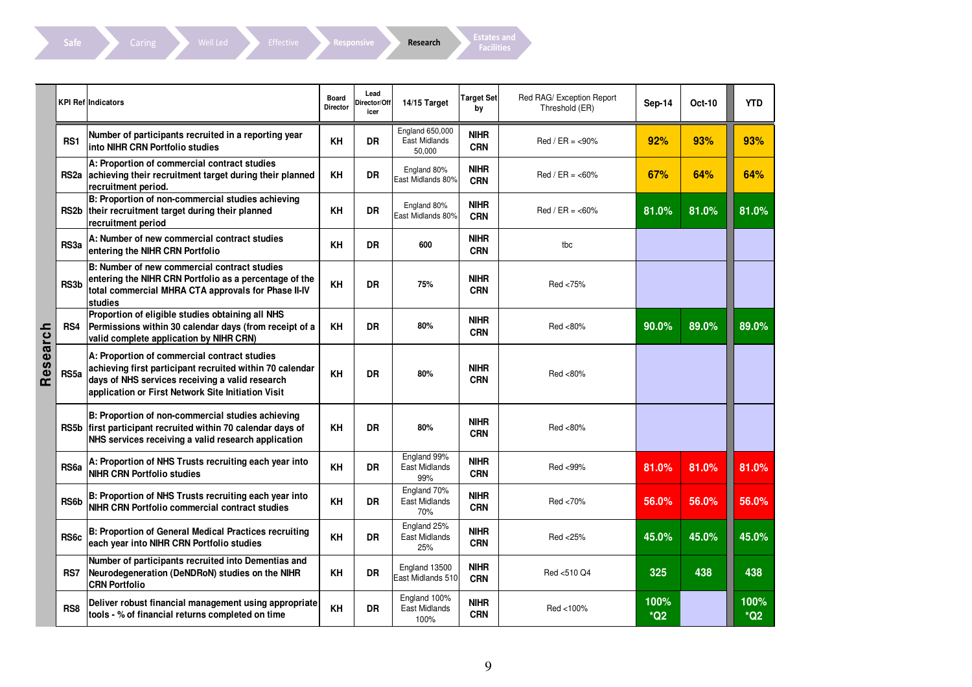Caring Well Led Effective Responsive Research Facilities

|          |                   | <b>KPI Reflindicators</b>                                                                                                                                                                                         | <b>Board</b><br>Director | Lead<br>Director/Off<br>icer | 14/15 Target                               | Target Set<br>by          | Red RAG/ Exception Report<br>Threshold (ER) | Sep-14        | <b>Oct-10</b> | <b>YTD</b>    |
|----------|-------------------|-------------------------------------------------------------------------------------------------------------------------------------------------------------------------------------------------------------------|--------------------------|------------------------------|--------------------------------------------|---------------------------|---------------------------------------------|---------------|---------------|---------------|
|          | RS <sub>1</sub>   | Number of participants recruited in a reporting year<br>into NIHR CRN Portfolio studies                                                                                                                           | KH                       | <b>DR</b>                    | England 650,000<br>East Midlands<br>50.000 | <b>NIHR</b><br><b>CRN</b> | $Red / ER = <0.90%$                         | 92%           | 93%           | 93%           |
|          |                   | A: Proportion of commercial contract studies<br>RS2a achieving their recruitment target during their planned<br>recruitment period.                                                                               | KH                       | <b>DR</b>                    | England 80%<br>East Midlands 80%           | <b>NIHR</b><br><b>CRN</b> | $Red / ER = <0.60%$                         | 67%           | 64%           | 64%           |
|          |                   | B: Proportion of non-commercial studies achieving<br>RS2b their recruitment target during their planned<br>recruitment period                                                                                     | KH                       | DR                           | England 80%<br>East Midlands 80%           | <b>NIHR</b><br><b>CRN</b> | $Red / ER = <0.60%$                         | 81.0%         | 81.0%         | 81.0%         |
|          | RS3a              | A: Number of new commercial contract studies<br>entering the NIHR CRN Portfolio                                                                                                                                   | KH                       | DR                           | 600                                        | <b>NIHR</b><br><b>CRN</b> | tbc                                         |               |               |               |
|          | RS3b              | B: Number of new commercial contract studies<br>entering the NIHR CRN Portfolio as a percentage of the<br>total commercial MHRA CTA approvals for Phase II-IV<br>studies                                          | KH                       | DR                           | 75%                                        | <b>NIHR</b><br><b>CRN</b> | Red <75%                                    |               |               |               |
|          | RS4               | Proportion of eligible studies obtaining all NHS<br>Permissions within 30 calendar days (from receipt of a<br>valid complete application by NIHR CRN)                                                             | KH                       | DR                           | 80%                                        | <b>NIHR</b><br><b>CRN</b> | Red <80%                                    | 90.0%         | 89.0%         | 89.0%         |
| Research | RS <sub>5a</sub>  | A: Proportion of commercial contract studies<br>achieving first participant recruited within 70 calendar<br>days of NHS services receiving a valid research<br>application or First Network Site Initiation Visit | KH                       | DR                           | 80%                                        | <b>NIHR</b><br><b>CRN</b> | Red <80%                                    |               |               |               |
|          |                   | B: Proportion of non-commercial studies achieving<br>RS5b first participant recruited within 70 calendar days of<br>NHS services receiving a valid research application                                           | KH                       | DR                           | 80%                                        | <b>NIHR</b><br><b>CRN</b> | Red <80%                                    |               |               |               |
|          | RS <sub>6a</sub>  | A: Proportion of NHS Trusts recruiting each year into<br><b>NIHR CRN Portfolio studies</b>                                                                                                                        | KH                       | <b>DR</b>                    | England 99%<br>East Midlands<br>99%        | <b>NIHR</b><br><b>CRN</b> | Red <99%                                    | 81.0%         | 81.0%         | 81.0%         |
|          | RS6b              | B: Proportion of NHS Trusts recruiting each year into<br>NIHR CRN Portfolio commercial contract studies                                                                                                           | KH                       | <b>DR</b>                    | England 70%<br>East Midlands<br>70%        | <b>NIHR</b><br><b>CRN</b> | Red <70%                                    | 56.0%         | 56.0%         | 56.0%         |
|          | RS <sub>6</sub> c | <b>B: Proportion of General Medical Practices recruiting</b><br>each year into NIHR CRN Portfolio studies                                                                                                         | KH                       | <b>DR</b>                    | England 25%<br>East Midlands<br>25%        | <b>NIHR</b><br><b>CRN</b> | Red <25%                                    | 45.0%         | 45.0%         | 45.0%         |
|          | RS7               | Number of participants recruited into Dementias and<br>Neurodegeneration (DeNDRoN) studies on the NIHR<br><b>CRN Portfolio</b>                                                                                    | KH                       | <b>DR</b>                    | England 13500<br>East Midlands 510         | <b>NIHR</b><br><b>CRN</b> | Red <510 Q4                                 | 325           | 438           | 438           |
|          | RS <sub>8</sub>   | Deliver robust financial management using appropriate<br>tools - % of financial returns completed on time                                                                                                         | KH                       | <b>DR</b>                    | England 100%<br>East Midlands<br>100%      | <b>NIHR</b><br><b>CRN</b> | Red <100%                                   | 100%<br>$*Q2$ |               | 100%<br>$*Q2$ |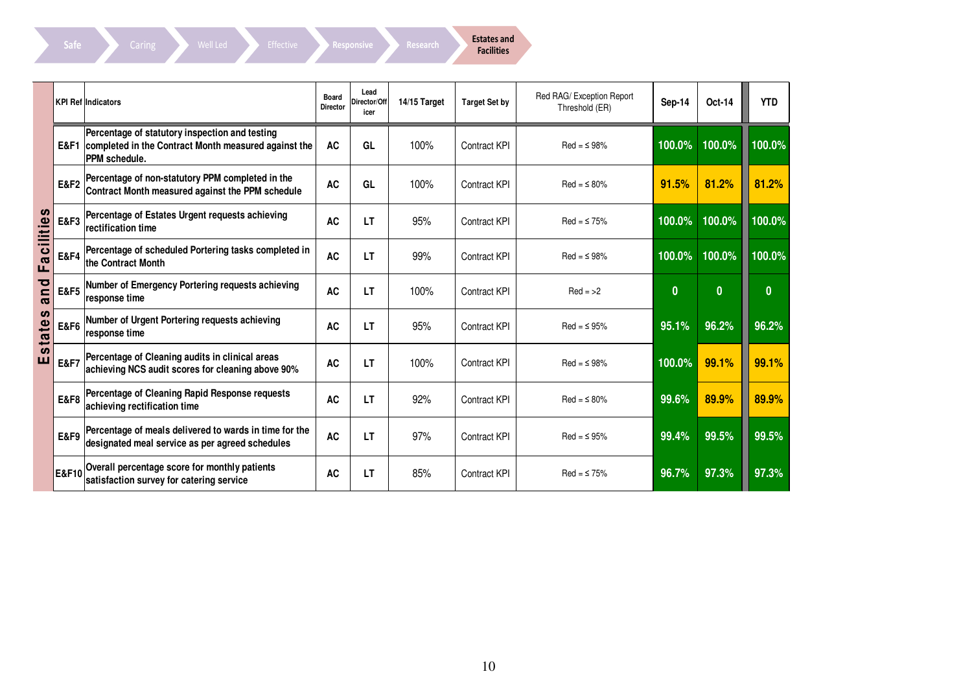Caring Well Led Effective Responsive Research Bitates and

|          |                 | <b>KPI Ref Indicators</b>                                                                                                               | Board<br><b>Director</b> | Lead<br>Director/Off<br>icer | 14/15 Target | <b>Target Set by</b> | Red RAG/ Exception Report<br>Threshold (ER) | <b>Sep-14</b> | Oct-14       | <b>YTD</b>   |
|----------|-----------------|-----------------------------------------------------------------------------------------------------------------------------------------|--------------------------|------------------------------|--------------|----------------------|---------------------------------------------|---------------|--------------|--------------|
|          |                 | Percentage of statutory inspection and testing<br><b>E&amp;F1</b> completed in the Contract Month measured against the<br>PPM schedule. | <b>AC</b>                | GL                           | 100%         | <b>Contract KPI</b>  | $Red = 98%$                                 | 100.0%        | 100.0%       | 100.0%       |
|          | <b>E&amp;F2</b> | Percentage of non-statutory PPM completed in the<br>Contract Month measured against the PPM schedule                                    | <b>AC</b>                | GL                           | 100%         | <b>Contract KPI</b>  | $Red = \leq 80\%$                           | 91.5%         | 81.2%        | 81.2%        |
| cilities | E&F3            | Percentage of Estates Urgent requests achieving<br>rectification time                                                                   | <b>AC</b>                | LT                           | 95%          | <b>Contract KPI</b>  | $Red = 575%$                                | 100.0%        | 100.0%       | 100.0%       |
| Ea       | <b>E&amp;F4</b> | Percentage of scheduled Portering tasks completed in<br>the Contract Month                                                              | <b>AC</b>                | LT                           | 99%          | <b>Contract KPI</b>  | $Red = 598%$                                | 100.0%        | 100.0%       | 100.0%       |
| and      | <b>E&amp;F5</b> | Number of Emergency Portering requests achieving<br>response time                                                                       | <b>AC</b>                | <b>LT</b>                    | 100%         | <b>Contract KPI</b>  | $Red = >2$                                  | $\mathbf{0}$  | $\mathbf{0}$ | $\mathbf{0}$ |
| states   | <b>E&amp;F6</b> | Number of Urgent Portering requests achieving<br>response time                                                                          | <b>AC</b>                | LT                           | 95%          | <b>Contract KPI</b>  | $Red = 95%$                                 | 95.1%         | 96.2%        | 96.2%        |
| ш        | <b>E&amp;F7</b> | Percentage of Cleaning audits in clinical areas<br>achieving NCS audit scores for cleaning above 90%                                    | <b>AC</b>                | LT                           | 100%         | <b>Contract KPI</b>  | $Red = 98%$                                 | 100.0%        | 99.1%        | 99.1%        |
|          | <b>E&amp;F8</b> | Percentage of Cleaning Rapid Response requests<br>achieving rectification time                                                          | <b>AC</b>                | <b>LT</b>                    | 92%          | <b>Contract KPI</b>  | $Red = 580%$                                | 99.6%         | 89.9%        | 89.9%        |
|          | <b>E&amp;F9</b> | Percentage of meals delivered to wards in time for the<br>designated meal service as per agreed schedules                               | <b>AC</b>                | <b>LT</b>                    | 97%          | <b>Contract KPI</b>  | $Red = 95%$                                 | 99.4%         | 99.5%        | 99.5%        |
|          | E&F10           | Overall percentage score for monthly patients<br>satisfaction survey for catering service                                               | <b>AC</b>                | LT                           | 85%          | Contract KPI         | $Red = 575%$                                | 96.7%         | 97.3%        | 97.3%        |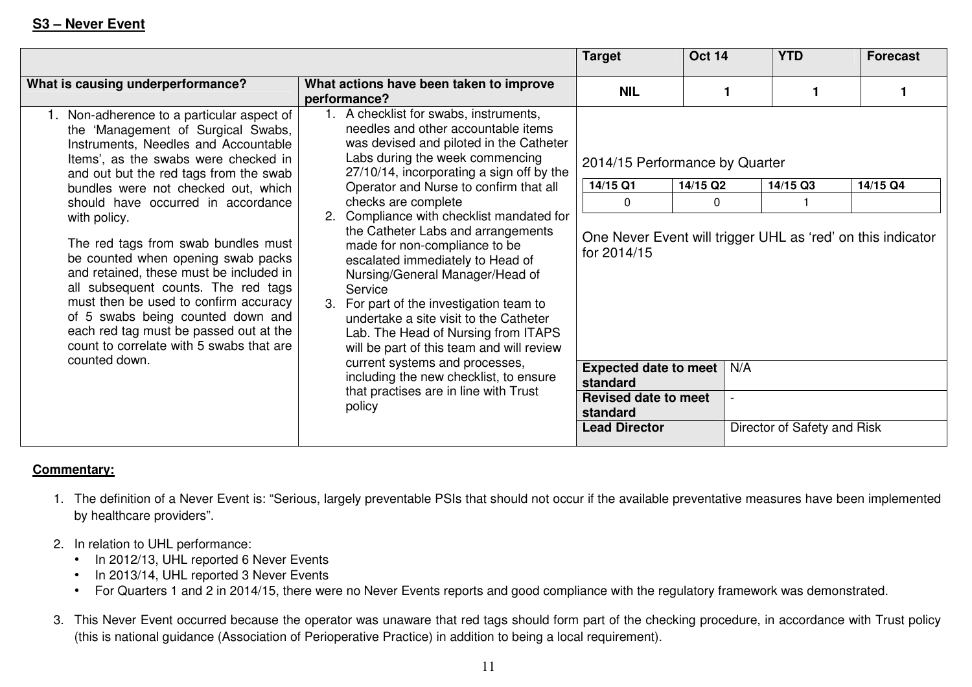|                                                                                                                                                                                                                                                                                                                                                                                                                                                                                                                                                                                                                                                          |                                                                                                                                                                                                                                                                                                                                                                                                                                                                                                                                                                                                                                                                                                                                                                                          | <b>Target</b>                                                                                                                                                                                                                         | <b>Oct 14</b>                          | <b>YTD</b>                              | <b>Forecast</b> |
|----------------------------------------------------------------------------------------------------------------------------------------------------------------------------------------------------------------------------------------------------------------------------------------------------------------------------------------------------------------------------------------------------------------------------------------------------------------------------------------------------------------------------------------------------------------------------------------------------------------------------------------------------------|------------------------------------------------------------------------------------------------------------------------------------------------------------------------------------------------------------------------------------------------------------------------------------------------------------------------------------------------------------------------------------------------------------------------------------------------------------------------------------------------------------------------------------------------------------------------------------------------------------------------------------------------------------------------------------------------------------------------------------------------------------------------------------------|---------------------------------------------------------------------------------------------------------------------------------------------------------------------------------------------------------------------------------------|----------------------------------------|-----------------------------------------|-----------------|
| What is causing underperformance?                                                                                                                                                                                                                                                                                                                                                                                                                                                                                                                                                                                                                        | What actions have been taken to improve<br>performance?                                                                                                                                                                                                                                                                                                                                                                                                                                                                                                                                                                                                                                                                                                                                  | <b>NIL</b>                                                                                                                                                                                                                            |                                        |                                         |                 |
| Non-adherence to a particular aspect of<br>the 'Management of Surgical Swabs,<br>Instruments, Needles and Accountable<br>Items', as the swabs were checked in<br>and out but the red tags from the swab<br>bundles were not checked out, which<br>should have occurred in accordance<br>with policy.<br>The red tags from swab bundles must<br>be counted when opening swab packs<br>and retained, these must be included in<br>all subsequent counts. The red tags<br>must then be used to confirm accuracy<br>of 5 swabs being counted down and<br>each red tag must be passed out at the<br>count to correlate with 5 swabs that are<br>counted down. | 1. A checklist for swabs, instruments,<br>needles and other accountable items<br>was devised and piloted in the Catheter<br>Labs during the week commencing<br>27/10/14, incorporating a sign off by the<br>Operator and Nurse to confirm that all<br>checks are complete<br>2. Compliance with checklist mandated for<br>the Catheter Labs and arrangements<br>made for non-compliance to be<br>escalated immediately to Head of<br>Nursing/General Manager/Head of<br>Service<br>3. For part of the investigation team to<br>undertake a site visit to the Catheter<br>Lab. The Head of Nursing from ITAPS<br>will be part of this team and will review<br>current systems and processes,<br>including the new checklist, to ensure<br>that practises are in line with Trust<br>policy | 2014/15 Performance by Quarter<br>14/15 Q1<br>0<br>One Never Event will trigger UHL as 'red' on this indicator<br>for 2014/15<br>Expected date to meet<br>standard<br><b>Revised date to meet</b><br>standard<br><b>Lead Director</b> | 14/15 Q2<br>0<br>N/A<br>$\overline{a}$ | 14/15 Q3<br>Director of Safety and Risk | 14/15 Q4        |

#### **Commentary:**

- 1. The definition of a Never Event is: "Serious, largely preventable PSIs that should not occur if the available preventative measures have been implemented by healthcare providers".
- 2. In relation to UHL performance:
	- In 2012/13, UHL reported 6 Never Events
	- In 2013/14, UHL reported 3 Never Events
	- For Quarters 1 and 2 in 2014/15, there were no Never Events reports and good compliance with the regulatory framework was demonstrated.
- 3. This Never Event occurred because the operator was unaware that red tags should form part of the checking procedure, in accordance with Trust policy (this is national guidance (Association of Perioperative Practice) in addition to being a local requirement).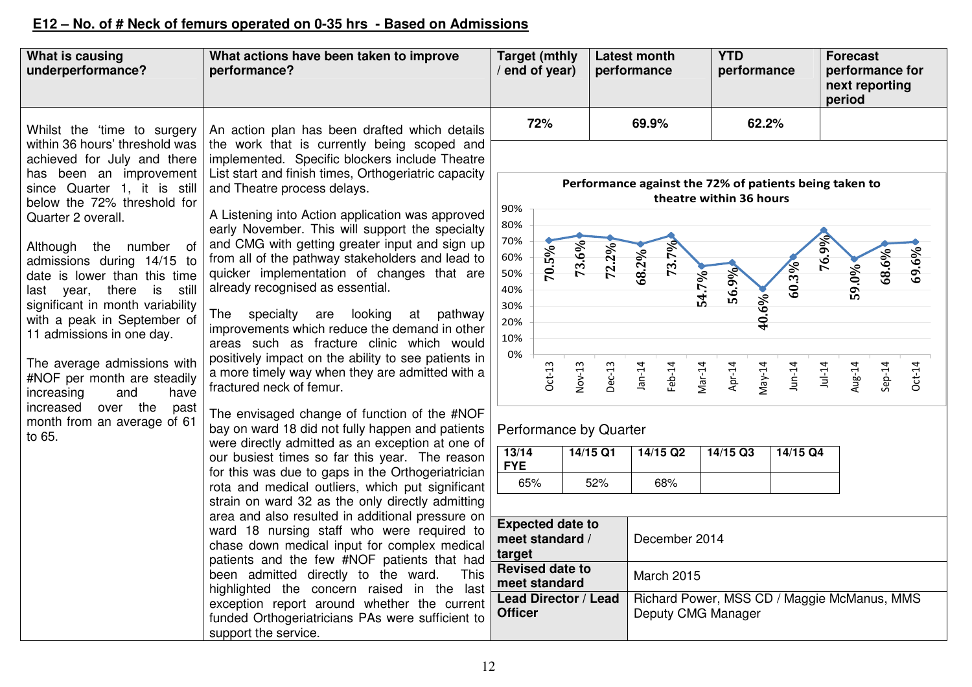### **E12 – No. of # Neck of femurs operated on 0-35 hrs - Based on Admissions**

| What is causing<br>underperformance?                                                                                                                                                                                                                                                                                                                                                                                                                                                                                                                                    | What actions have been taken to improve<br>performance?                                                                                                                                                                                                                                                                                                                                                                                                                                                                                                                                                                                                                                                                                                                                                                                                                                                                                                                                                                                                                            |                                                                                                                           | <b>Target (mthly</b><br>end of year)              |                             | <b>Latest month</b><br>performance |                               |                                                                                                             | <b>YTD</b><br>performance                      |                   |                               | <b>Forecast</b><br>performance for<br>next reporting<br>period |                 |                   |                   |
|-------------------------------------------------------------------------------------------------------------------------------------------------------------------------------------------------------------------------------------------------------------------------------------------------------------------------------------------------------------------------------------------------------------------------------------------------------------------------------------------------------------------------------------------------------------------------|------------------------------------------------------------------------------------------------------------------------------------------------------------------------------------------------------------------------------------------------------------------------------------------------------------------------------------------------------------------------------------------------------------------------------------------------------------------------------------------------------------------------------------------------------------------------------------------------------------------------------------------------------------------------------------------------------------------------------------------------------------------------------------------------------------------------------------------------------------------------------------------------------------------------------------------------------------------------------------------------------------------------------------------------------------------------------------|---------------------------------------------------------------------------------------------------------------------------|---------------------------------------------------|-----------------------------|------------------------------------|-------------------------------|-------------------------------------------------------------------------------------------------------------|------------------------------------------------|-------------------|-------------------------------|----------------------------------------------------------------|-----------------|-------------------|-------------------|
| Whilst the 'time to surgery                                                                                                                                                                                                                                                                                                                                                                                                                                                                                                                                             | An action plan has been drafted which details                                                                                                                                                                                                                                                                                                                                                                                                                                                                                                                                                                                                                                                                                                                                                                                                                                                                                                                                                                                                                                      |                                                                                                                           | 72%                                               |                             |                                    | 69.9%                         |                                                                                                             |                                                | 62.2%             |                               |                                                                |                 |                   |                   |
| within 36 hours' threshold was<br>achieved for July and there<br>has been an improvement<br>since Quarter 1, it is still<br>below the 72% threshold for<br>Quarter 2 overall.<br>Although the number of<br>admissions during 14/15 to<br>date is lower than this time<br>last year, there is still<br>significant in month variability<br>with a peak in September of<br>11 admissions in one day.<br>The average admissions with<br>#NOF per month are steadily<br>increasing<br>have<br>and<br>over the<br>increased<br>past<br>month from an average of 61<br>to 65. | the work that is currently being scoped and<br>implemented. Specific blockers include Theatre<br>List start and finish times, Orthogeriatric capacity<br>and Theatre process delays.<br>A Listening into Action application was approved<br>early November. This will support the specialty<br>and CMG with getting greater input and sign up<br>from all of the pathway stakeholders and lead to<br>quicker implementation of changes that are<br>already recognised as essential.<br>The specialty are looking at pathway<br>improvements which reduce the demand in other<br>areas such as fracture clinic which would<br>positively impact on the ability to see patients in<br>a more timely way when they are admitted with a<br>fractured neck of femur.<br>The envisaged change of function of the #NOF<br>bay on ward 18 did not fully happen and patients<br>were directly admitted as an exception at one of<br>our busiest times so far this year. The reason<br>for this was due to gaps in the Orthogeriatrician<br>rota and medical outliers, which put significant | 90%<br>80%<br>70%<br>60%<br>50%<br>40%<br>30%<br>20%<br>10%<br>0%<br>Performance by Quarter<br>13/14<br><b>FYE</b><br>65% | 70.5%<br>$Oct-13$                                 | 73.6%<br>Nov-13<br>14/15 Q1 | 72.2%<br>Dec-13<br>52%             | 68.2%<br>$Jan-14$<br>14/15 Q2 | Performance against the 72% of patients being taken to<br>theatre within 36 hours<br>73.7%<br>Feb-14<br>68% | 56.9%<br>54.7%<br>Mar-14<br>Apr-14<br>14/15 Q3 | 40.6%<br>$May-14$ | 60.3%<br>$Jun-14$<br>14/15 Q4 | 76.9%<br>$Jul-14$                                              | 59.0%<br>Aug-14 | 68.6%<br>$Sep-14$ | 69.6%<br>$Oct-14$ |
|                                                                                                                                                                                                                                                                                                                                                                                                                                                                                                                                                                         | strain on ward 32 as the only directly admitting<br>area and also resulted in additional pressure on                                                                                                                                                                                                                                                                                                                                                                                                                                                                                                                                                                                                                                                                                                                                                                                                                                                                                                                                                                               | <b>Expected date to</b>                                                                                                   |                                                   |                             |                                    |                               |                                                                                                             |                                                |                   |                               |                                                                |                 |                   |                   |
|                                                                                                                                                                                                                                                                                                                                                                                                                                                                                                                                                                         | ward 18 nursing staff who were required to<br>chase down medical input for complex medical<br>patients and the few #NOF patients that had<br>been admitted directly to the ward.<br>This<br>highlighted the concern raised in the last                                                                                                                                                                                                                                                                                                                                                                                                                                                                                                                                                                                                                                                                                                                                                                                                                                             |                                                                                                                           | meet standard /                                   |                             |                                    |                               | December 2014                                                                                               |                                                |                   |                               |                                                                |                 |                   |                   |
|                                                                                                                                                                                                                                                                                                                                                                                                                                                                                                                                                                         |                                                                                                                                                                                                                                                                                                                                                                                                                                                                                                                                                                                                                                                                                                                                                                                                                                                                                                                                                                                                                                                                                    |                                                                                                                           | target<br><b>Revised date to</b><br>meet standard |                             |                                    |                               | March 2015                                                                                                  |                                                |                   |                               |                                                                |                 |                   |                   |
|                                                                                                                                                                                                                                                                                                                                                                                                                                                                                                                                                                         | exception report around whether the current<br>funded Orthogeriatricians PAs were sufficient to<br>support the service.                                                                                                                                                                                                                                                                                                                                                                                                                                                                                                                                                                                                                                                                                                                                                                                                                                                                                                                                                            | Lead Director / Lead<br>Richard Power, MSS CD / Maggie McManus, MMS<br><b>Officer</b><br>Deputy CMG Manager               |                                                   |                             |                                    |                               |                                                                                                             |                                                |                   |                               |                                                                |                 |                   |                   |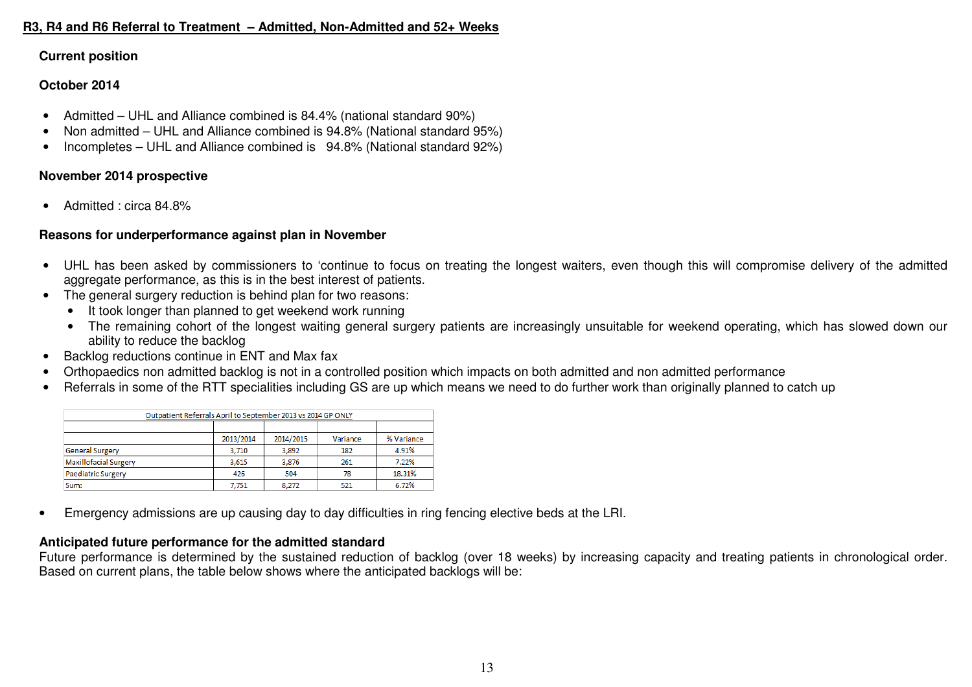#### **R3, R4 and R6 Referral to Treatment – Admitted, Non-Admitted and 52+ Weeks**

#### **Current position**

#### **October 2014**

- Admitted UHL and Alliance combined is 84.4% (national standard 90%)
- Non admitted UHL and Alliance combined is 94.8% (National standard 95%)
- Incompletes UHL and Alliance combined is 94.8% (National standard 92%)

#### **November 2014 prospective**

• Admitted : circa 84.8%

#### **Reasons for underperformance against plan in November**

- UHL has been asked by commissioners to 'continue to focus on treating the longest waiters, even though this will compromise delivery of the admitted aggregate performance, as this is in the best interest of patients.
- The general surgery reduction is behind plan for two reasons:
	- It took longer than planned to get weekend work running
	- The remaining cohort of the longest waiting general surgery patients are increasingly unsuitable for weekend operating, which has slowed down our ability to reduce the backlog
- Backlog reductions continue in ENT and Max fax
- Orthopaedics non admitted backlog is not in a controlled position which impacts on both admitted and non admitted performance
- Referrals in some of the RTT specialities including GS are up which means we need to do further work than originally planned to catch up

| Outpatient Referrals April to September 2013 vs 2014 GP ONLY |           |           |          |            |
|--------------------------------------------------------------|-----------|-----------|----------|------------|
|                                                              |           |           |          |            |
|                                                              | 2013/2014 | 2014/2015 | Variance | % Variance |
| <b>General Surgery</b>                                       | 3,710     | 3,892     | 182      | 4.91%      |
| <b>Maxillofacial Surgery</b>                                 | 3.615     | 3.876     | 261      | 7.22%      |
| Paediatric Surgery                                           | 426       | 504       | 78       | 18.31%     |
| Sum:                                                         | 7,751     | 8,272     | 521      | 6.72%      |

• Emergency admissions are up causing day to day difficulties in ring fencing elective beds at the LRI.

#### **Anticipated future performance for the admitted standard**

 Future performance is determined by the sustained reduction of backlog (over 18 weeks) by increasing capacity and treating patients in chronological order. Based on current plans, the table below shows where the anticipated backlogs will be: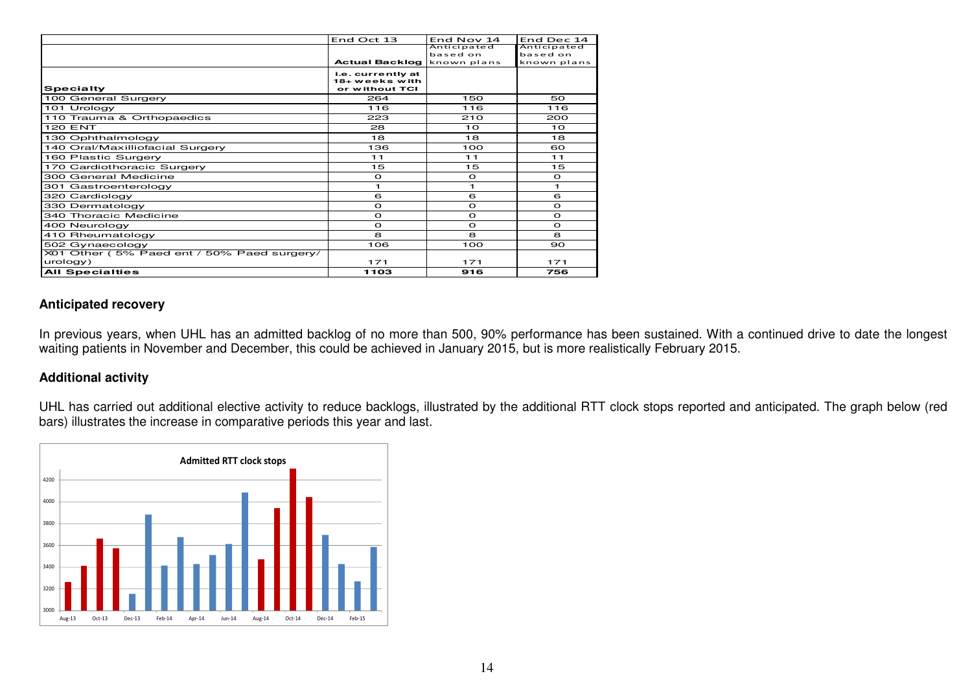|                                            | End Oct 13                                            | End Nov 14  | End Dec 14  |
|--------------------------------------------|-------------------------------------------------------|-------------|-------------|
|                                            |                                                       | Anticipated | Anticipated |
|                                            |                                                       | based on    | based on    |
|                                            | <b>Actual Backlog known plans</b>                     |             | known plans |
| <b>Specialty</b>                           | i.e. currently at<br>18+ weeks with<br>or without TCI |             |             |
| 100 General Surgery                        | 264                                                   | 150         | 50          |
| 101 Urology                                | 116                                                   | 116         | 116         |
| 110 Trauma & Orthopaedics                  | 223                                                   | 210         | 200         |
| <b>120 ENT</b>                             | 28                                                    | 10          | 10          |
| 130 Ophthalmology                          | 18                                                    | 18          | 18          |
| 140 Oral/Maxilliofacial Surgery            | 136                                                   | 100         | ഒറ          |
| 160 Plastic Surgery                        | 11                                                    | 11          | 11          |
| 170 Cardiothoracic Surgery                 | 15                                                    | 15          | 15          |
| 300 General Medicine                       | $\circ$                                               | $\circ$     | $\circ$     |
| 301 Gastroenterology                       | 1.                                                    | 1           | 1.          |
| 320 Cardiology                             | 6                                                     | 6           | 6           |
| 330 Dermatology                            | $\circ$                                               | $\circ$     | $\circ$     |
| 340 Thoracic Medicine                      | $\circ$                                               | $\circ$     | $\circ$     |
| 400 Neurology                              | $\circ$                                               | $\circ$     | $\circ$     |
| 410 Rheumatology                           | 8                                                     | 8           | 8           |
| 502 Gynaecology                            | 106                                                   | 100         | 90          |
| X01 Other (5% Paed ent / 50% Paed surgery/ |                                                       |             |             |
| urology)                                   | 171                                                   | 171         | 171         |
| <b>All Specialties</b>                     | 1103                                                  | 916         | 756         |

#### **Anticipated recovery**

In previous years, when UHL has an admitted backlog of no more than 500, 90% performance has been sustained. With a continued drive to date the longest<br>waiting patients in November and December, this could be achieved in J

#### **Additional activity**

UHL has carried out additional elective activity to reduce backlogs, illustrated by the additional RTT clock stops reported and anticipated. The graph below (red<br>bars) illustrates the increase in comparative periods this y

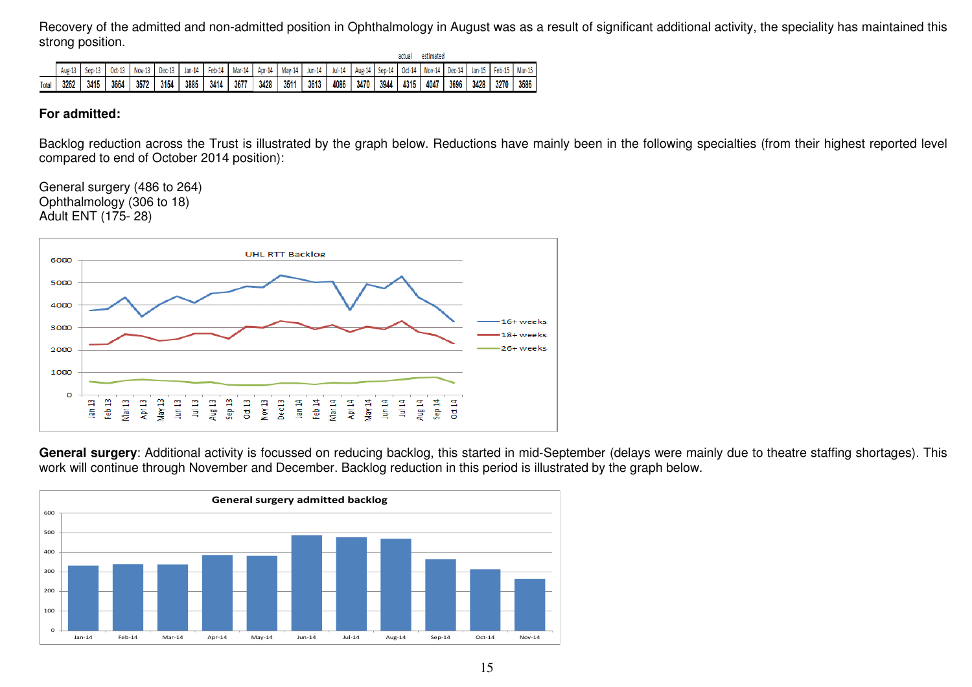Recovery of the admitted and non-admitted position in Ophthalmology in August was as a result of significant additional activity, the speciality has maintained this strong position.

|              |        |          |        |               |        |        |        |        |        |        |        |          |        |        | actua  | estimated |        |          |        |        |
|--------------|--------|----------|--------|---------------|--------|--------|--------|--------|--------|--------|--------|----------|--------|--------|--------|-----------|--------|----------|--------|--------|
|              | Aug-13 | $Sen-13$ | Oct-13 | <b>Nov-13</b> | Dec-13 | Jan-14 | Feb-14 | Mar-14 | Apr-14 | May-14 | Jun-14 | $Jul-14$ | Aug-14 | Sep-14 | Oct-14 | Nov-14    | Dec-14 | $Jan-15$ | Feb-15 | Mar-15 |
| <b>Total</b> | 3262   | 3415     | 3664   | 3572          | 3154   | 3885   | 3414   | 3677   | 3428   | 3511   | 3613   | 4086     | 3470   | 3944   | 4315   | 4047      | 3696   | 3428     | 3270   | 3586   |

#### **For admitted:**

Backlog reduction across the Trust is illustrated by the graph below. Reductions have mainly been in the following specialties (from their highest reported level compared to end of October 2014 position):

General surgery (486 to 264) Ophthalmology (306 to 18) Adult ENT (175- 28)



General surgery: Additional activity is focussed on reducing backlog, this started in mid-September (delays were mainly due to theatre staffing shortages). This work will continue through November and December. Backlog reduction in this period is illustrated by the graph below.

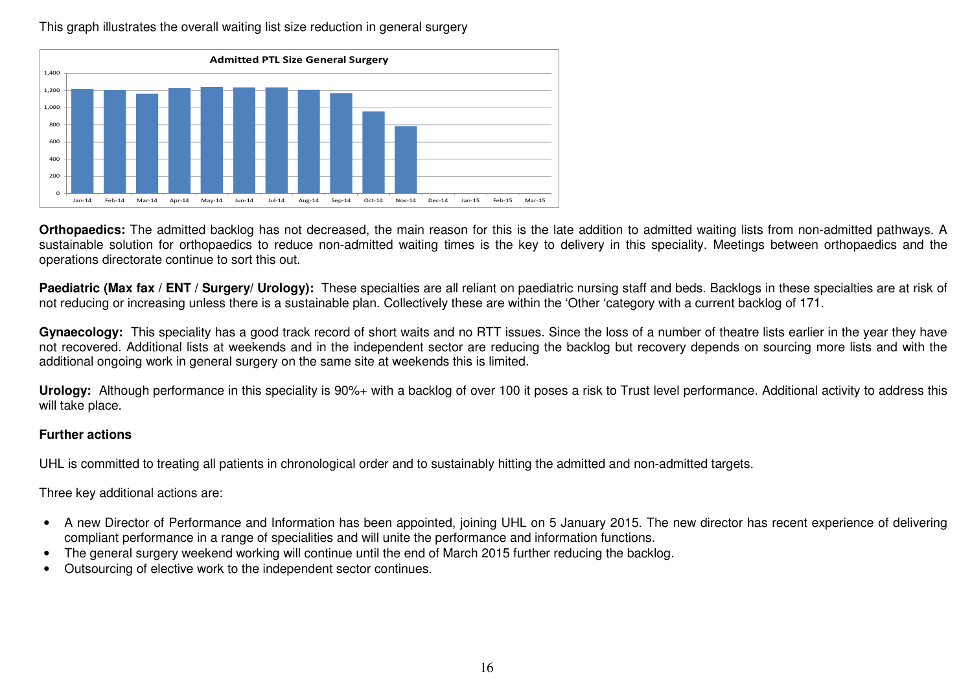$\Omega$ 2004006008001,0001,2001,400Jan-14 Feb-14 Mar-14 Apr-14 May-14 Jun-14 Jul-14 Aug-14 Sep-14 Oct-14 Nov-14 Dec-14 Jan-15 Feb-15 Mar-15Admitted PTL Size General Surgery

This graph illustrates the overall waiting list size reduction in general surgery

**Orthopaedics:** The admitted backlog has not decreased, the main reason for this is the late addition to admitted waiting lists from non-admitted pathways. A sustainable solution for orthopaedics to reduce non-admitted waiting times is the key to delivery in this speciality. Meetings between orthopaedics and the operations directorate continue to sort this out.

Paediatric (Max fax / ENT / Surgery/ Urology): These specialties are all reliant on paediatric nursing staff and beds. Backlogs in these specialties are at risk of not reducing or increasing unless there is a sustainable plan. Collectively these are within the 'Other 'category with a current backlog of 171.

**Gynaecology:** This speciality has a good track record of short waits and no RTT issues. Since the loss of a number of theatre lists earlier in the year they have not recovered. Additional lists at weekends and in the independent sector are reducing the backlog but recovery depends on sourcing more lists and with the additional ongoing work in general surgery on the same site at weekends this is limited.

**Urology:** Although performance in this speciality is 90%+ with a backlog of over 100 it poses a risk to Trust level performance. Additional activity to address this will take place.

#### **Further actions**

UHL is committed to treating all patients in chronological order and to sustainably hitting the admitted and non-admitted targets.

Three key additional actions are:

- A new Director of Performance and Information has been appointed, joining UHL on 5 January 2015. The new director has recent experience of delivering compliant performance in a range of specialities and will unite the performance and information functions.
- The general surgery weekend working will continue until the end of March 2015 further reducing the backlog.
- Outsourcing of elective work to the independent sector continues.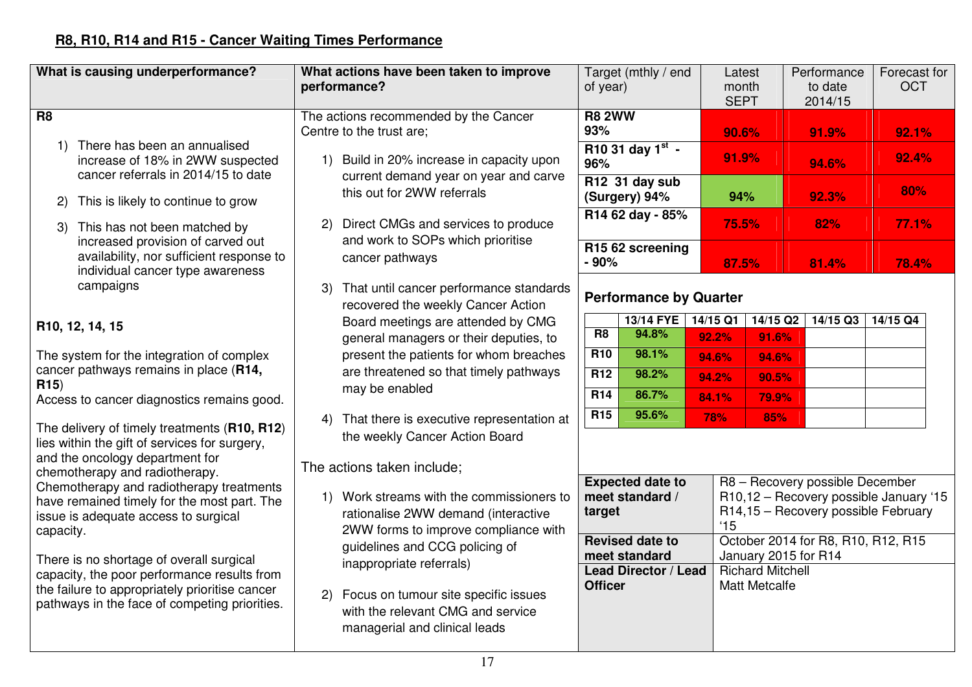### **R8, R10, R14 and R15 - Cancer Waiting Times Performance**

| What is causing underperformance?                                                                                                                                                                                                                                                                                                                                                                                                                                                                                                                                                                                                                                                                                                                                                                                                                  | What actions have been taken to improve<br>performance?                                                                                                                                                                                                                                                                                                                                                                                                                                                                                                                                                                                                                                                                                                                                                                                               | Target (mthly / end<br>of year)                                                                                                                                                                                                                                                                                                                                                                                        | Latest<br>month                                                                                                                                                              | Performance<br>to date<br>2014/15                                                                                                                                   | Forecast for<br><b>OCT</b>                                                                    |
|----------------------------------------------------------------------------------------------------------------------------------------------------------------------------------------------------------------------------------------------------------------------------------------------------------------------------------------------------------------------------------------------------------------------------------------------------------------------------------------------------------------------------------------------------------------------------------------------------------------------------------------------------------------------------------------------------------------------------------------------------------------------------------------------------------------------------------------------------|-------------------------------------------------------------------------------------------------------------------------------------------------------------------------------------------------------------------------------------------------------------------------------------------------------------------------------------------------------------------------------------------------------------------------------------------------------------------------------------------------------------------------------------------------------------------------------------------------------------------------------------------------------------------------------------------------------------------------------------------------------------------------------------------------------------------------------------------------------|------------------------------------------------------------------------------------------------------------------------------------------------------------------------------------------------------------------------------------------------------------------------------------------------------------------------------------------------------------------------------------------------------------------------|------------------------------------------------------------------------------------------------------------------------------------------------------------------------------|---------------------------------------------------------------------------------------------------------------------------------------------------------------------|-----------------------------------------------------------------------------------------------|
| R <sub>8</sub><br>1) There has been an annualised<br>increase of 18% in 2WW suspected<br>cancer referrals in 2014/15 to date<br>This is likely to continue to grow<br>2)<br>This has not been matched by<br>3)<br>increased provision of carved out<br>availability, nor sufficient response to<br>individual cancer type awareness<br>campaigns<br>R <sub>10</sub> , 12, 14, 15<br>The system for the integration of complex<br>cancer pathways remains in place (R14,<br>R15<br>Access to cancer diagnostics remains good.<br>The delivery of timely treatments (R10, R12)<br>lies within the gift of services for surgery,<br>and the oncology department for<br>chemotherapy and radiotherapy.<br>Chemotherapy and radiotherapy treatments<br>have remained timely for the most part. The<br>issue is adequate access to surgical<br>capacity. | The actions recommended by the Cancer<br>Centre to the trust are;<br>1) Build in 20% increase in capacity upon<br>current demand year on year and carve<br>this out for 2WW referrals<br>2) Direct CMGs and services to produce<br>and work to SOPs which prioritise<br>cancer pathways<br>That until cancer performance standards<br>3)<br>recovered the weekly Cancer Action<br>Board meetings are attended by CMG<br>general managers or their deputies, to<br>present the patients for whom breaches<br>are threatened so that timely pathways<br>may be enabled<br>That there is executive representation at<br>4)<br>the weekly Cancer Action Board<br>The actions taken include;<br>1) Work streams with the commissioners to<br>rationalise 2WW demand (interactive<br>2WW forms to improve compliance with<br>guidelines and CCG policing of | <b>R8 2WW</b><br>93%<br>R10 31 day $1^{st}$ -<br>96%<br>R12 31 day sub<br>(Surgery) 94%<br>R14 62 day - 85%<br>R <sub>15</sub> 6 <sub>2</sub> screening<br>$-90%$<br><b>Performance by Quarter</b><br><b>13/14 FYE</b><br>R <sub>8</sub><br>94.8%<br>R <sub>10</sub><br>98.1%<br>R12<br>98.2%<br>R14<br>86.7%<br>95.6%<br><b>R15</b><br><b>Expected date to</b><br>meet standard /<br>target<br><b>Revised date to</b> | <b>SEPT</b><br>90.6%<br>91.9%<br>94%<br>75.5%<br>87.5%<br>$14/15$ Q2<br>14/15 Q1<br>92.2%<br>91.6%<br>94.6%<br>94.6%<br>94.2%<br>90.5%<br>84.1%<br>79.9%<br>78%<br>85%<br>15 | 91.9%<br>94.6%<br>92.3%<br>82%<br>81.4%<br>14/15 Q3<br>R8 - Recovery possible December<br>R14,15 - Recovery possible February<br>October 2014 for R8, R10, R12, R15 | 92.1%<br>92.4%<br>80%<br>77.1%<br>78.4%<br>14/15 Q4<br>R10,12 - Recovery possible January '15 |
| There is no shortage of overall surgical<br>capacity, the poor performance results from<br>the failure to appropriately prioritise cancer<br>pathways in the face of competing priorities.                                                                                                                                                                                                                                                                                                                                                                                                                                                                                                                                                                                                                                                         | inappropriate referrals)<br>2) Focus on tumour site specific issues<br>with the relevant CMG and service<br>managerial and clinical leads                                                                                                                                                                                                                                                                                                                                                                                                                                                                                                                                                                                                                                                                                                             | meet standard<br><b>Lead Director / Lead</b><br><b>Officer</b>                                                                                                                                                                                                                                                                                                                                                         | January 2015 for R14<br><b>Richard Mitchell</b><br><b>Matt Metcalfe</b>                                                                                                      |                                                                                                                                                                     |                                                                                               |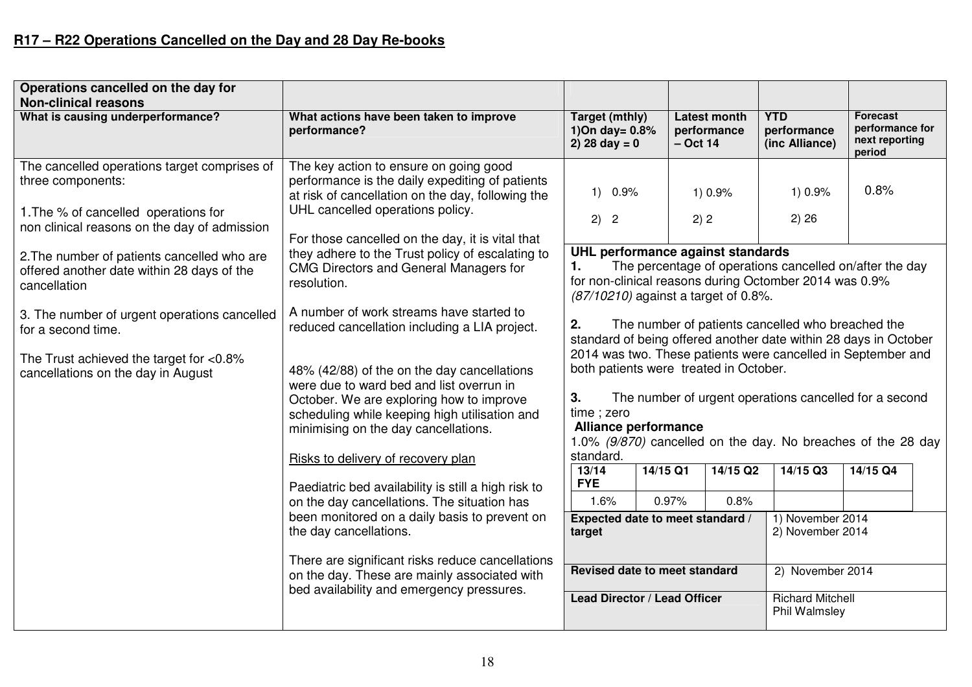### **R17 – R22 Operations Cancelled on the Day and 28 Day Re-books**

| Operations cancelled on the day for                                                                                                                       |                                                                                                                                                                                                                                        |                                                                                                                                                                                                                     |                                                   |                                  |                                                         |                                                         |  |  |
|-----------------------------------------------------------------------------------------------------------------------------------------------------------|----------------------------------------------------------------------------------------------------------------------------------------------------------------------------------------------------------------------------------------|---------------------------------------------------------------------------------------------------------------------------------------------------------------------------------------------------------------------|---------------------------------------------------|----------------------------------|---------------------------------------------------------|---------------------------------------------------------|--|--|
| <b>Non-clinical reasons</b><br>What is causing underperformance?                                                                                          | What actions have been taken to improve<br>performance?                                                                                                                                                                                | <b>Target (mthly)</b><br>1) On day = $0.8\%$<br>2) 28 day = $0$                                                                                                                                                     | <b>Latest month</b><br>performance<br>$-$ Oct 14  |                                  | <b>YTD</b><br>performance<br>(inc Alliance)             | Forecast<br>performance for<br>next reporting<br>period |  |  |
| The cancelled operations target comprises of<br>three components:<br>1. The % of cancelled operations for<br>non clinical reasons on the day of admission | The key action to ensure on going good<br>performance is the daily expediting of patients<br>at risk of cancellation on the day, following the<br>UHL cancelled operations policy.<br>For those cancelled on the day, it is vital that | $1)$ 0.9%<br>2) 2                                                                                                                                                                                                   | 1) 0.9%<br>2) 2                                   |                                  | 1) 0.9%<br>2) 26                                        | 0.8%                                                    |  |  |
| 2. The number of patients cancelled who are<br>offered another date within 28 days of the<br>cancellation                                                 | they adhere to the Trust policy of escalating to<br><b>CMG Directors and General Managers for</b><br>resolution.                                                                                                                       | UHL performance against standards<br>1.<br>for non-clinical reasons during Octomber 2014 was 0.9%<br>(87/10210) against a target of 0.8%.                                                                           |                                                   |                                  | The percentage of operations cancelled on/after the day |                                                         |  |  |
| 3. The number of urgent operations cancelled<br>for a second time.                                                                                        | A number of work streams have started to<br>reduced cancellation including a LIA project.                                                                                                                                              | 2.<br>standard of being offered another date within 28 days in October<br>2014 was two. These patients were cancelled in September and                                                                              | The number of patients cancelled who breached the |                                  |                                                         |                                                         |  |  |
| The Trust achieved the target for $<$ 0.8%<br>cancellations on the day in August                                                                          | 48% (42/88) of the on the day cancellations<br>were due to ward bed and list overrun in<br>October. We are exploring how to improve<br>scheduling while keeping high utilisation and<br>minimising on the day cancellations.           | both patients were treated in October.<br>3.<br>The number of urgent operations cancelled for a second<br>time; zero<br><b>Alliance performance</b><br>1.0% (9/870) cancelled on the day. No breaches of the 28 day |                                                   |                                  |                                                         |                                                         |  |  |
|                                                                                                                                                           | Risks to delivery of recovery plan                                                                                                                                                                                                     | standard.<br>13/14                                                                                                                                                                                                  | 14/15 Q1                                          | 14/15 Q2                         | 14/15 Q3                                                | 14/15 Q4                                                |  |  |
|                                                                                                                                                           | Paediatric bed availability is still a high risk to<br>on the day cancellations. The situation has                                                                                                                                     | <b>FYE</b><br>1.6%                                                                                                                                                                                                  | 0.97%                                             | 0.8%                             |                                                         |                                                         |  |  |
|                                                                                                                                                           | been monitored on a daily basis to prevent on<br>the day cancellations.                                                                                                                                                                | target                                                                                                                                                                                                              |                                                   | Expected date to meet standard / |                                                         | 1) November 2014<br>2) November 2014                    |  |  |
|                                                                                                                                                           | There are significant risks reduce cancellations<br>on the day. These are mainly associated with<br>bed availability and emergency pressures.                                                                                          | Revised date to meet standard                                                                                                                                                                                       |                                                   |                                  | 2) November 2014                                        |                                                         |  |  |
|                                                                                                                                                           |                                                                                                                                                                                                                                        | Lead Director / Lead Officer                                                                                                                                                                                        |                                                   |                                  | <b>Richard Mitchell</b><br>Phil Walmsley                |                                                         |  |  |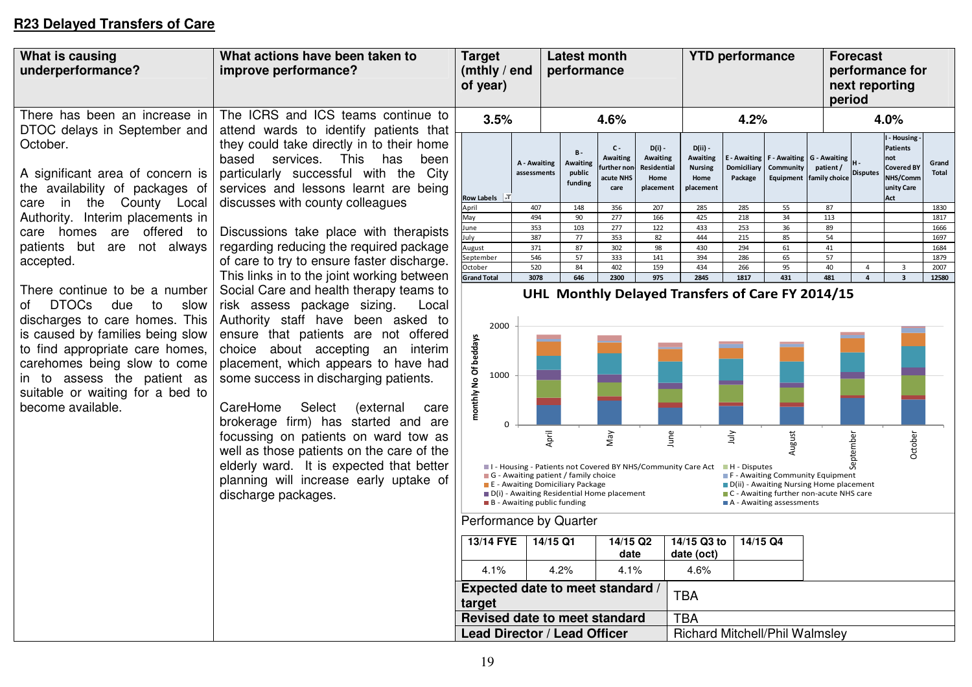### **R23 Delayed Transfers of Care**

| What is causing<br>underperformance?                                                                                                                                                                                                                                     | What actions have been taken to<br>improve performance?                                                                                                                                                                                                                                                                                                                                                                                                                                                                                                                 | <b>Target</b><br>(mthly / end<br>of year)  | <b>Latest month</b><br>performance         |                                                                                                                                                                                                                               |                                                             |                                                          | <b>YTD performance</b>                                              |                                        |                                                   |                                                                                                                          | <b>Forecast</b><br>performance for<br>next reporting<br>period |                                                                                           |                       |
|--------------------------------------------------------------------------------------------------------------------------------------------------------------------------------------------------------------------------------------------------------------------------|-------------------------------------------------------------------------------------------------------------------------------------------------------------------------------------------------------------------------------------------------------------------------------------------------------------------------------------------------------------------------------------------------------------------------------------------------------------------------------------------------------------------------------------------------------------------------|--------------------------------------------|--------------------------------------------|-------------------------------------------------------------------------------------------------------------------------------------------------------------------------------------------------------------------------------|-------------------------------------------------------------|----------------------------------------------------------|---------------------------------------------------------------------|----------------------------------------|---------------------------------------------------|--------------------------------------------------------------------------------------------------------------------------|----------------------------------------------------------------|-------------------------------------------------------------------------------------------|-----------------------|
| There has been an increase in                                                                                                                                                                                                                                            | The ICRS and ICS teams continue to                                                                                                                                                                                                                                                                                                                                                                                                                                                                                                                                      | 3.5%                                       |                                            |                                                                                                                                                                                                                               | 4.6%                                                        |                                                          |                                                                     | 4.2%                                   |                                                   |                                                                                                                          |                                                                | 4.0%                                                                                      |                       |
| DTOC delays in September and<br>October.<br>A significant area of concern is<br>the availability of packages of<br>the County Local<br>in<br>care                                                                                                                        | attend wards to identify patients that<br>they could take directly in to their home<br>based services. This<br>has<br>been<br>particularly successful with the City<br>services and lessons learnt are being<br>discusses with county colleagues                                                                                                                                                                                                                                                                                                                        | Row Labels $\overline{\mathbb{F}}$         | A - Awaiting<br>assessments                | $B -$<br>Awaiting<br>public<br>funding                                                                                                                                                                                        | $C -$<br><b>Awaiting</b><br>urther nor<br>acute NHS<br>care | $D(i)$ -<br>Awaiting<br>Residential<br>Home<br>placement | $D(ii)$ -<br><b>Awaiting</b><br><b>Nursing</b><br>Home<br>placement | E - Awaiting<br>Domiciliary<br>Package | F - Awaiting<br>Community<br>Equipment            | G - Awaiting<br>patient/<br>family choice                                                                                | <b>Disputes</b>                                                | - Housing<br><b>Patients</b><br>not<br><b>Covered BY</b><br>NHS/Comm<br>unity Care<br>Act | Grand<br><b>Total</b> |
| Authority. Interim placements in                                                                                                                                                                                                                                         |                                                                                                                                                                                                                                                                                                                                                                                                                                                                                                                                                                         | April<br>May                               | 407<br>494                                 | 148<br>90                                                                                                                                                                                                                     | 356<br>277                                                  | 207<br>166                                               | 285<br>425                                                          | 285<br>218                             | 55<br>34                                          | 87<br>113                                                                                                                |                                                                |                                                                                           | 1830<br>1817          |
| are offered to<br>care<br>homes                                                                                                                                                                                                                                          | Discussions take place with therapists                                                                                                                                                                                                                                                                                                                                                                                                                                                                                                                                  | lune                                       | 353                                        | 103                                                                                                                                                                                                                           | 277                                                         | 122                                                      | 433                                                                 | 253                                    | 36                                                | 89                                                                                                                       |                                                                |                                                                                           | 1666                  |
| patients but are not always                                                                                                                                                                                                                                              | regarding reducing the required package                                                                                                                                                                                                                                                                                                                                                                                                                                                                                                                                 | luly<br>August                             | 387<br>371                                 | 77<br>87                                                                                                                                                                                                                      | 353<br>302                                                  | 82<br>98                                                 | 444<br>430                                                          | 215<br>294                             | 85<br>61                                          | 54<br>41                                                                                                                 |                                                                |                                                                                           | 1697<br>1684          |
| accepted.                                                                                                                                                                                                                                                                | of care to try to ensure faster discharge.                                                                                                                                                                                                                                                                                                                                                                                                                                                                                                                              | September                                  | 546                                        | 57                                                                                                                                                                                                                            | 333                                                         | 141                                                      | 394                                                                 | 286                                    | 65                                                | 57                                                                                                                       |                                                                |                                                                                           | 1879                  |
|                                                                                                                                                                                                                                                                          | This links in to the joint working between                                                                                                                                                                                                                                                                                                                                                                                                                                                                                                                              | October<br><b>Grand Total</b>              | 520<br>3078                                | 84<br>646                                                                                                                                                                                                                     | 402<br>2300                                                 | 159<br>975                                               | 434<br>2845                                                         | 266<br>1817                            | 95<br>431                                         | 40<br>481                                                                                                                | $\overline{4}$<br>$\overline{4}$                               | $\overline{3}$<br>$\overline{\mathbf{3}}$                                                 | 2007<br>12580         |
| <b>DTOCs</b><br>due<br>to<br>slow<br>οf<br>discharges to care homes. This<br>is caused by families being slow<br>to find appropriate care homes,<br>carehomes being slow to come<br>in to assess the patient as<br>suitable or waiting for a bed to<br>become available. | Social Care and health therapy teams to<br>risk assess package sizing.<br>Local<br>Authority staff have been asked to<br>ensure that patients are not offered<br>choice about accepting an interim<br>placement, which appears to have had<br>some success in discharging patients.<br>CareHome<br>Select<br>(external<br>care<br>brokerage firm) has started and are<br>focussing on patients on ward tow as<br>well as those patients on the care of the<br>elderly ward. It is expected that better<br>planning will increase early uptake of<br>discharge packages. | 2000<br>monthly No Of beddays<br>1000<br>0 | $\blacksquare$ B - Awaiting public funding | April<br>I - Housing - Patients not Covered BY NHS/Community Care Act<br>$\blacksquare$ G - Awaiting patient / family choice<br>E - Awaiting Domiciliary Package<br>$\blacksquare$ D(i) - Awaiting Residential Home placement | Vay                                                         | June                                                     |                                                                     | λη<br>H - Disputes                     | August<br>$\blacksquare$ A - Awaiting assessments | F - Awaiting Community Equipment<br>D(ii) - Awaiting Nursing Home placement<br>■ C - Awaiting further non-acute NHS care | September                                                      | October                                                                                   |                       |
|                                                                                                                                                                                                                                                                          |                                                                                                                                                                                                                                                                                                                                                                                                                                                                                                                                                                         | Performance by Quarter<br>13/14 FYE        |                                            | $14/15$ Q1                                                                                                                                                                                                                    | 14/15 Q2                                                    |                                                          | 14/15 Q3 to                                                         | 14/15 Q4                               |                                                   |                                                                                                                          |                                                                |                                                                                           |                       |
|                                                                                                                                                                                                                                                                          |                                                                                                                                                                                                                                                                                                                                                                                                                                                                                                                                                                         |                                            |                                            |                                                                                                                                                                                                                               | date                                                        |                                                          | date (oct)                                                          |                                        |                                                   |                                                                                                                          |                                                                |                                                                                           |                       |
|                                                                                                                                                                                                                                                                          |                                                                                                                                                                                                                                                                                                                                                                                                                                                                                                                                                                         | 4.1%                                       |                                            | 4.2%                                                                                                                                                                                                                          | 4.1%                                                        |                                                          | 4.6%                                                                |                                        |                                                   |                                                                                                                          |                                                                |                                                                                           |                       |
|                                                                                                                                                                                                                                                                          |                                                                                                                                                                                                                                                                                                                                                                                                                                                                                                                                                                         | Expected date to meet standard /<br>target |                                            |                                                                                                                                                                                                                               |                                                             |                                                          | <b>TBA</b>                                                          |                                        |                                                   |                                                                                                                          |                                                                |                                                                                           |                       |
|                                                                                                                                                                                                                                                                          |                                                                                                                                                                                                                                                                                                                                                                                                                                                                                                                                                                         | Revised date to meet standard              |                                            |                                                                                                                                                                                                                               |                                                             |                                                          | <b>TBA</b>                                                          |                                        |                                                   |                                                                                                                          |                                                                |                                                                                           |                       |
|                                                                                                                                                                                                                                                                          |                                                                                                                                                                                                                                                                                                                                                                                                                                                                                                                                                                         | Lead Director / Lead Officer               |                                            |                                                                                                                                                                                                                               |                                                             |                                                          | <b>Richard Mitchell/Phil Walmsley</b>                               |                                        |                                                   |                                                                                                                          |                                                                |                                                                                           |                       |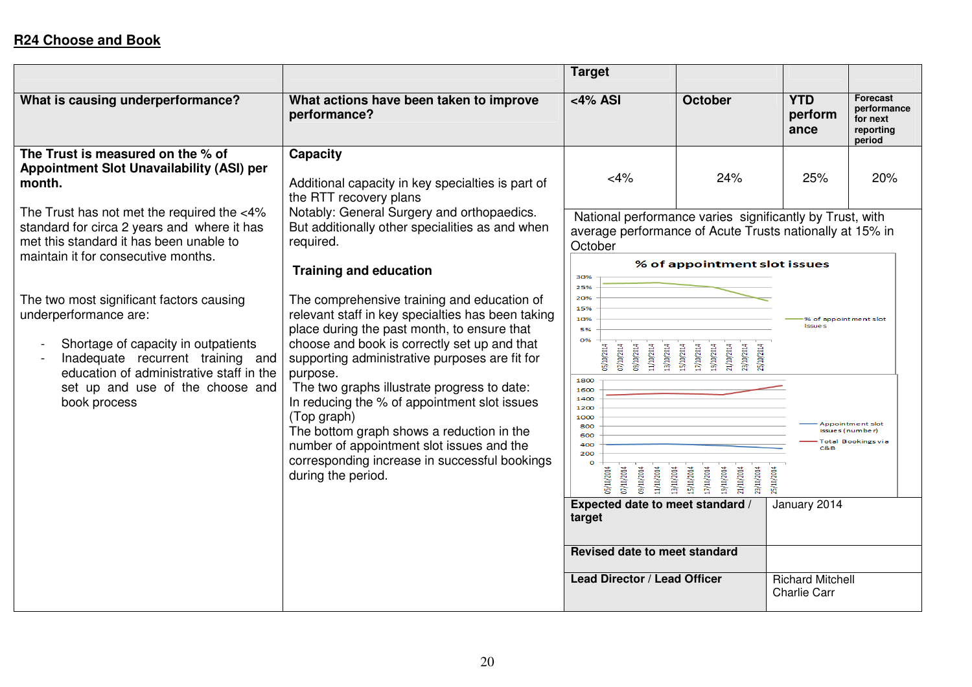|                                                                                                                                                                                                                                               |                                                                                                                                                                                                                                                                                                                                                                                                                                                                                                                                              | <b>Target</b>                                                                                                                                                                                                                                                    |                                                                                                                                                                      |                                        |                                                                   |
|-----------------------------------------------------------------------------------------------------------------------------------------------------------------------------------------------------------------------------------------------|----------------------------------------------------------------------------------------------------------------------------------------------------------------------------------------------------------------------------------------------------------------------------------------------------------------------------------------------------------------------------------------------------------------------------------------------------------------------------------------------------------------------------------------------|------------------------------------------------------------------------------------------------------------------------------------------------------------------------------------------------------------------------------------------------------------------|----------------------------------------------------------------------------------------------------------------------------------------------------------------------|----------------------------------------|-------------------------------------------------------------------|
| What is causing underperformance?                                                                                                                                                                                                             | What actions have been taken to improve<br>performance?                                                                                                                                                                                                                                                                                                                                                                                                                                                                                      | $<$ 4% ASI                                                                                                                                                                                                                                                       | <b>October</b>                                                                                                                                                       | <b>YTD</b><br>perform<br>ance          | <b>Forecast</b><br>performance<br>for next<br>reporting<br>period |
| The Trust is measured on the % of<br>Appointment Slot Unavailability (ASI) per<br>month.<br>The Trust has not met the required the <4%<br>standard for circa 2 years and where it has                                                         | <b>Capacity</b><br>Additional capacity in key specialties is part of<br>the RTT recovery plans<br>Notably: General Surgery and orthopaedics.<br>But additionally other specialities as and when                                                                                                                                                                                                                                                                                                                                              | 25%<br>National performance varies significantly by Trust, with                                                                                                                                                                                                  | 20%                                                                                                                                                                  |                                        |                                                                   |
| met this standard it has been unable to<br>maintain it for consecutive months.                                                                                                                                                                | required.<br><b>Training and education</b>                                                                                                                                                                                                                                                                                                                                                                                                                                                                                                   | average performance of Acute Trusts nationally at 15% in<br>October<br>30%                                                                                                                                                                                       | % of appointment slot issues                                                                                                                                         |                                        |                                                                   |
| The two most significant factors causing<br>underperformance are:<br>Shortage of capacity in outpatients<br>Inadequate recurrent training and<br>education of administrative staff in the<br>set up and use of the choose and<br>book process | The comprehensive training and education of<br>relevant staff in key specialties has been taking<br>place during the past month, to ensure that<br>choose and book is correctly set up and that<br>supporting administrative purposes are fit for<br>purpose.<br>The two graphs illustrate progress to date:<br>In reducing the % of appointment slot issues<br>(Top graph)<br>The bottom graph shows a reduction in the<br>number of appointment slot issues and the<br>corresponding increase in successful bookings<br>during the period. | 25%<br>20%<br>15%<br>10%<br>5%<br>O%<br>11/10/2014<br>05/10/2014<br>09/10/2014<br>13/10/2014<br>07/10/2014<br>1800<br>1600<br>1400<br>1200<br>1000<br>800<br>600<br>400<br>200<br>$\Omega$<br>05/10/2014<br>09/10/2014<br>13/10/2014<br>07/10/2014<br>11/10/2014 | 15/10/2014<br>17/10/2014<br>19/10/2014<br>23/10/2014<br>21/10/2014<br>25/10/2014<br>15/10/2014<br>21/10/2014<br>23/10/2014<br>25/10/2014<br>17/10/2014<br>19/10/2014 | % of appointment slot<br>issues<br>C&B | Appointment slot<br>issues (number)<br><b>Total Bookings via</b>  |
|                                                                                                                                                                                                                                               |                                                                                                                                                                                                                                                                                                                                                                                                                                                                                                                                              | Expected date to meet standard /<br>target                                                                                                                                                                                                                       |                                                                                                                                                                      | January 2014                           |                                                                   |
|                                                                                                                                                                                                                                               |                                                                                                                                                                                                                                                                                                                                                                                                                                                                                                                                              | Revised date to meet standard                                                                                                                                                                                                                                    |                                                                                                                                                                      |                                        |                                                                   |
|                                                                                                                                                                                                                                               | <b>Lead Director / Lead Officer</b>                                                                                                                                                                                                                                                                                                                                                                                                                                                                                                          |                                                                                                                                                                                                                                                                  | <b>Richard Mitchell</b><br><b>Charlie Carr</b>                                                                                                                       |                                        |                                                                   |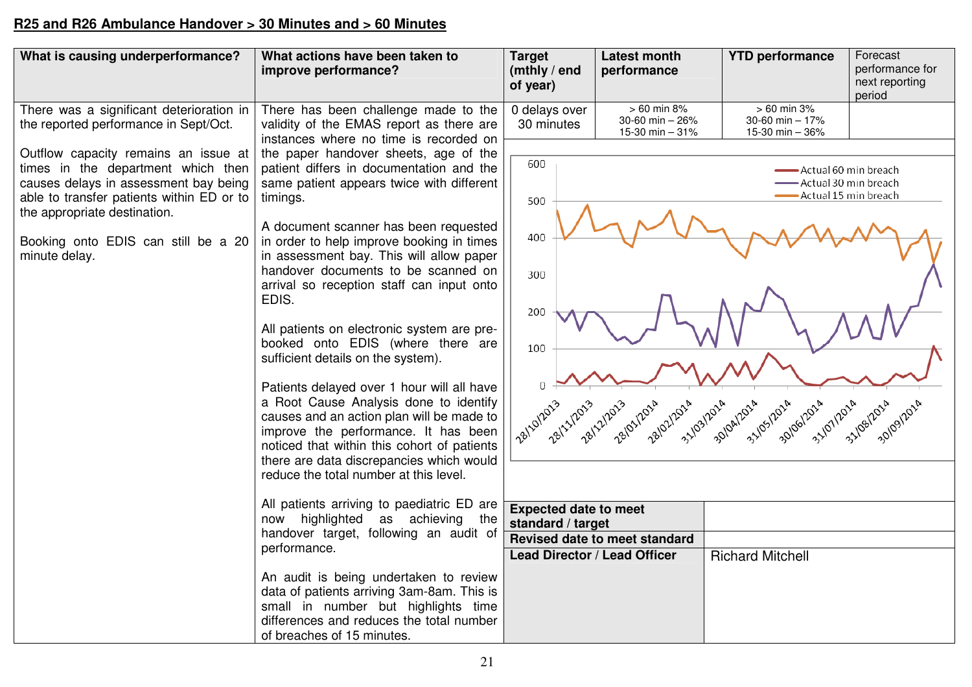### **R25 and R26 Ambulance Handover > 30 Minutes and > 60 Minutes**

| What is causing underperformance?                                                                                                                                                                                                                        | What actions have been taken to<br>improve performance?                                                                                                                                                                                                                                                                                                                                                                                                                                                                                                                                                                                                                                                                                                                                                                                                                                                                                                                                                                                                                                                                                                                   | <b>Target</b><br>(mthly / end<br>of year)                                                                                 | <b>Latest month</b><br>performance                                                                     | <b>YTD</b> performance                                      | Forecast<br>performance for<br>next reporting<br>period                                                        |
|----------------------------------------------------------------------------------------------------------------------------------------------------------------------------------------------------------------------------------------------------------|---------------------------------------------------------------------------------------------------------------------------------------------------------------------------------------------------------------------------------------------------------------------------------------------------------------------------------------------------------------------------------------------------------------------------------------------------------------------------------------------------------------------------------------------------------------------------------------------------------------------------------------------------------------------------------------------------------------------------------------------------------------------------------------------------------------------------------------------------------------------------------------------------------------------------------------------------------------------------------------------------------------------------------------------------------------------------------------------------------------------------------------------------------------------------|---------------------------------------------------------------------------------------------------------------------------|--------------------------------------------------------------------------------------------------------|-------------------------------------------------------------|----------------------------------------------------------------------------------------------------------------|
| There was a significant deterioration in<br>the reported performance in Sept/Oct.                                                                                                                                                                        | There has been challenge made to the<br>validity of the EMAS report as there are<br>instances where no time is recorded on                                                                                                                                                                                                                                                                                                                                                                                                                                                                                                                                                                                                                                                                                                                                                                                                                                                                                                                                                                                                                                                | 0 delays over<br>30 minutes                                                                                               | $> 60$ min 8%<br>30-60 min - 26%<br>15-30 min - 31%                                                    | $> 60$ min 3%<br>30-60 min - 17%<br>15-30 min - 36%         |                                                                                                                |
| Outflow capacity remains an issue at<br>times in the department which then<br>causes delays in assessment bay being<br>able to transfer patients within ED or to<br>the appropriate destination.<br>Booking onto EDIS can still be a 20<br>minute delay. | the paper handover sheets, age of the<br>patient differs in documentation and the<br>same patient appears twice with different<br>timings.<br>A document scanner has been requested<br>in order to help improve booking in times<br>in assessment bay. This will allow paper<br>handover documents to be scanned on<br>arrival so reception staff can input onto<br>EDIS.<br>All patients on electronic system are pre-<br>booked onto EDIS (where there are<br>sufficient details on the system).<br>Patients delayed over 1 hour will all have<br>a Root Cause Analysis done to identify<br>causes and an action plan will be made to<br>improve the performance. It has been<br>noticed that within this cohort of patients<br>there are data discrepancies which would<br>reduce the total number at this level.<br>All patients arriving to paediatric ED are<br>now highlighted as achieving the<br>handover target, following an audit of<br>performance.<br>An audit is being undertaken to review<br>data of patients arriving 3am-8am. This is<br>small in number but highlights time<br>differences and reduces the total number<br>of breaches of 15 minutes. | 600<br>500<br>400<br>300<br>200<br>100<br>1 28/10/2013<br>28/11/2013<br><b>Expected date to meet</b><br>standard / target | 28/01/2014 12014<br>28/21/2013<br>Revised date to meet standard<br><b>Lead Director / Lead Officer</b> | 31/83/2014 31/2014<br>31/05/2018<br><b>Richard Mitchell</b> | Actual 60 min breach<br>- Actual 30 min breach<br>Actual 15 min breach<br>2014 3101/2014 31/09/2014 30/1012014 |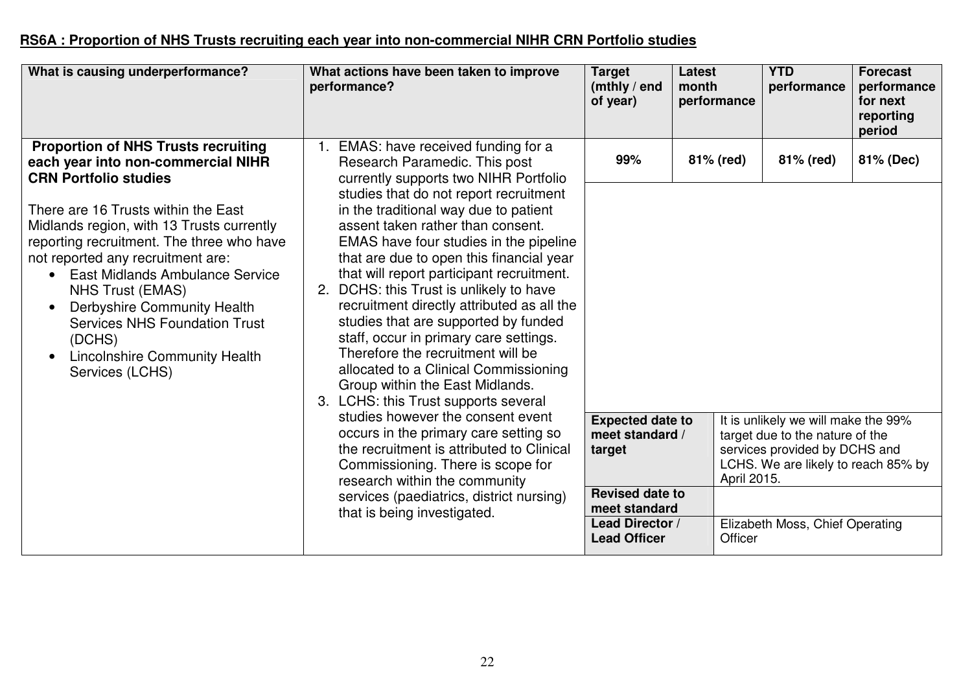#### **RS6A : Proportion of NHS Trusts recruiting each year into non-commercial NIHR CRN Portfolio studies**

| What is causing underperformance?                                                                                                                                                                                                                                                                                                                                                                                                                                                                                                       | What actions have been taken to improve<br>performance?                                                                                                                                                                                                                                                                                                                                                                                                                                                                                                                                                                                                                                                                                                                                                                                  | <b>Target</b><br>(mthly / end<br>of year)                                         | Latest<br>month<br>performance | <b>YTD</b><br>performance                                                                                            | <b>Forecast</b><br>performance<br>for next<br>reporting<br>period |
|-----------------------------------------------------------------------------------------------------------------------------------------------------------------------------------------------------------------------------------------------------------------------------------------------------------------------------------------------------------------------------------------------------------------------------------------------------------------------------------------------------------------------------------------|------------------------------------------------------------------------------------------------------------------------------------------------------------------------------------------------------------------------------------------------------------------------------------------------------------------------------------------------------------------------------------------------------------------------------------------------------------------------------------------------------------------------------------------------------------------------------------------------------------------------------------------------------------------------------------------------------------------------------------------------------------------------------------------------------------------------------------------|-----------------------------------------------------------------------------------|--------------------------------|----------------------------------------------------------------------------------------------------------------------|-------------------------------------------------------------------|
| <b>Proportion of NHS Trusts recruiting</b><br>each year into non-commercial NIHR<br><b>CRN Portfolio studies</b><br>There are 16 Trusts within the East<br>Midlands region, with 13 Trusts currently<br>reporting recruitment. The three who have<br>not reported any recruitment are:<br><b>East Midlands Ambulance Service</b><br>$\bullet$<br>NHS Trust (EMAS)<br>Derbyshire Community Health<br>$\bullet$<br><b>Services NHS Foundation Trust</b><br>(DCHS)<br><b>Lincolnshire Community Health</b><br>$\bullet$<br>Services (LCHS) | EMAS: have received funding for a<br>Research Paramedic. This post<br>currently supports two NIHR Portfolio<br>studies that do not report recruitment<br>in the traditional way due to patient<br>assent taken rather than consent.<br>EMAS have four studies in the pipeline<br>that are due to open this financial year<br>that will report participant recruitment.<br>DCHS: this Trust is unlikely to have<br>2.<br>recruitment directly attributed as all the<br>studies that are supported by funded<br>staff, occur in primary care settings.<br>Therefore the recruitment will be<br>allocated to a Clinical Commissioning<br>Group within the East Midlands.<br>3. LCHS: this Trust supports several<br>studies however the consent event<br>occurs in the primary care setting so<br>the recruitment is attributed to Clinical | 99%<br><b>Expected date to</b><br>meet standard /<br>target                       | 81% (red)                      | 81% (red)<br>It is unlikely we will make the 99%<br>target due to the nature of the<br>services provided by DCHS and | 81% (Dec)                                                         |
|                                                                                                                                                                                                                                                                                                                                                                                                                                                                                                                                         | Commissioning. There is scope for<br>research within the community<br>services (paediatrics, district nursing)<br>that is being investigated.                                                                                                                                                                                                                                                                                                                                                                                                                                                                                                                                                                                                                                                                                            | <b>Revised date to</b><br>meet standard<br>Lead Director /<br><b>Lead Officer</b> | April 2015.<br>Officer         | LCHS. We are likely to reach 85% by<br>Elizabeth Moss, Chief Operating                                               |                                                                   |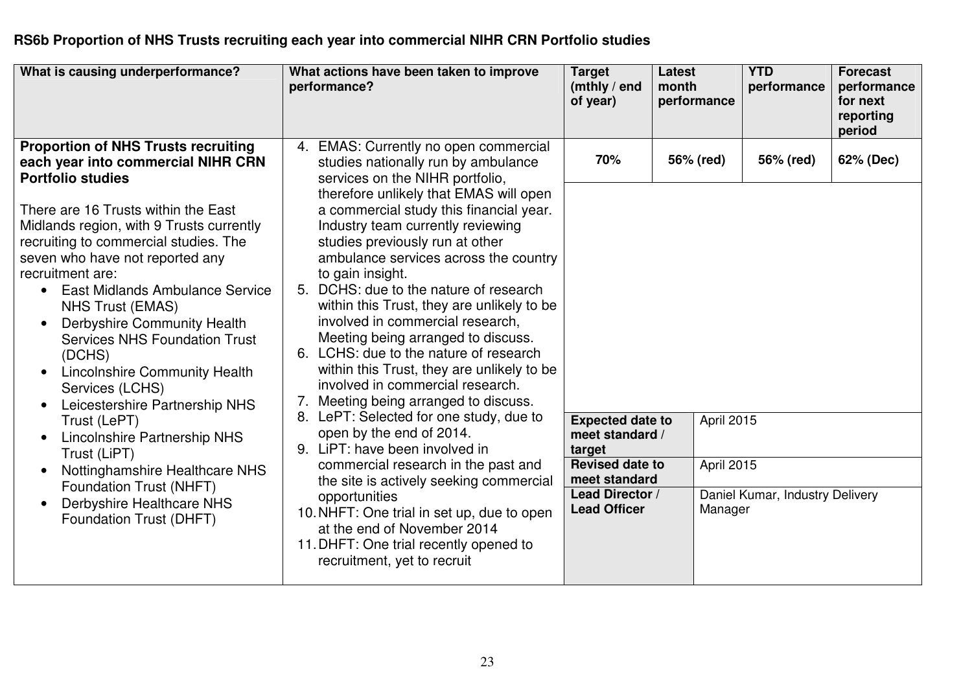#### **RS6b Proportion of NHS Trusts recruiting each year into commercial NIHR CRN Portfolio studies**

| What is causing underperformance?                                                                                                                                                                                                                                                                                                                      | What actions have been taken to improve<br>performance?                                                                                                                                                                                                                                                                                                                                | <b>Target</b><br>(mthly / end<br>of year)                                                      | <b>Latest</b><br>month<br>performance | <b>YTD</b><br>performance       | <b>Forecast</b><br>performance<br>for next<br>reporting<br>period |
|--------------------------------------------------------------------------------------------------------------------------------------------------------------------------------------------------------------------------------------------------------------------------------------------------------------------------------------------------------|----------------------------------------------------------------------------------------------------------------------------------------------------------------------------------------------------------------------------------------------------------------------------------------------------------------------------------------------------------------------------------------|------------------------------------------------------------------------------------------------|---------------------------------------|---------------------------------|-------------------------------------------------------------------|
| <b>Proportion of NHS Trusts recruiting</b><br>each year into commercial NIHR CRN<br><b>Portfolio studies</b><br>There are 16 Trusts within the East<br>Midlands region, with 9 Trusts currently<br>recruiting to commercial studies. The<br>seven who have not reported any<br>recruitment are:<br><b>East Midlands Ambulance Service</b><br>$\bullet$ | EMAS: Currently no open commercial<br>4.<br>studies nationally run by ambulance<br>services on the NIHR portfolio,<br>therefore unlikely that EMAS will open<br>a commercial study this financial year.<br>Industry team currently reviewing<br>studies previously run at other<br>ambulance services across the country<br>to gain insight.<br>5. DCHS: due to the nature of research | 70%                                                                                            | 56% (red)                             | 56% (red)                       | 62% (Dec)                                                         |
| <b>NHS Trust (EMAS)</b><br>Derbyshire Community Health<br><b>Services NHS Foundation Trust</b><br>(DCHS)<br><b>Lincolnshire Community Health</b><br>$\bullet$<br>Services (LCHS)<br>Leicestershire Partnership NHS<br>$\bullet$<br>Trust (LePT)                                                                                                        | within this Trust, they are unlikely to be<br>involved in commercial research,<br>Meeting being arranged to discuss.<br>6. LCHS: due to the nature of research<br>within this Trust, they are unlikely to be<br>involved in commercial research.<br>7. Meeting being arranged to discuss.<br>LePT: Selected for one study, due to<br>8.                                                | <b>Expected date to</b>                                                                        | April 2015                            |                                 |                                                                   |
| Lincolnshire Partnership NHS<br>$\bullet$<br>Trust (LiPT)<br>Nottinghamshire Healthcare NHS<br>$\bullet$<br>Foundation Trust (NHFT)                                                                                                                                                                                                                    | open by the end of 2014.<br>9. LiPT: have been involved in<br>commercial research in the past and<br>the site is actively seeking commercial                                                                                                                                                                                                                                           | meet standard /<br>target<br><b>Revised date to</b><br>meet standard<br><b>Lead Director /</b> | April 2015                            | Daniel Kumar, Industry Delivery |                                                                   |
| Derbyshire Healthcare NHS<br>Foundation Trust (DHFT)                                                                                                                                                                                                                                                                                                   | opportunities<br>10. NHFT: One trial in set up, due to open<br>at the end of November 2014<br>11. DHFT: One trial recently opened to<br>recruitment, yet to recruit                                                                                                                                                                                                                    | <b>Lead Officer</b>                                                                            | Manager                               |                                 |                                                                   |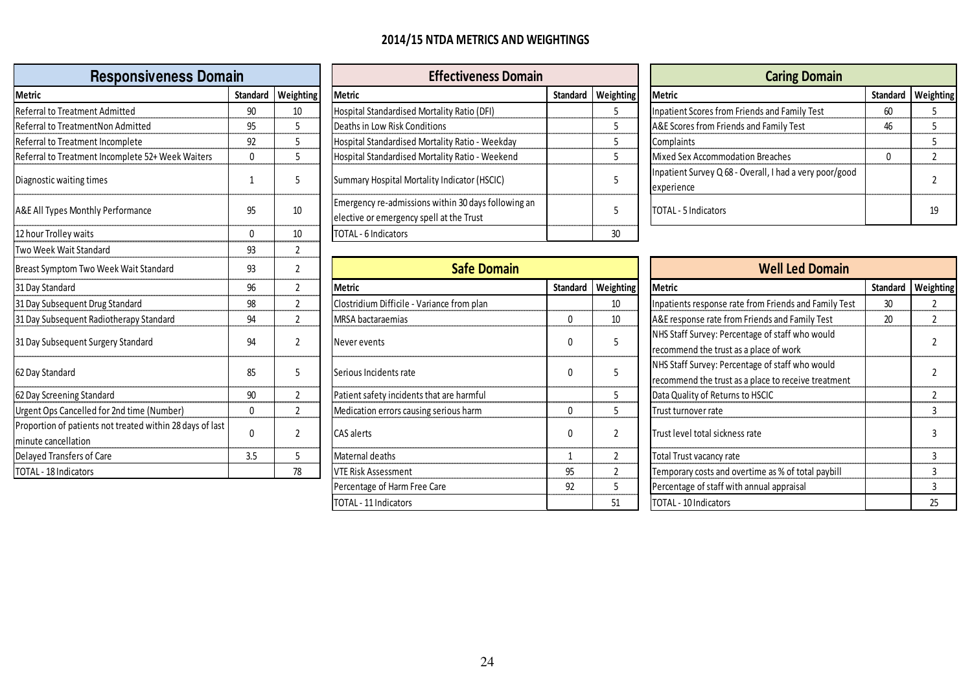#### 2014/15 NTDA METRICS AND WEIGHTINGS

| <b>Responsiveness Domain</b>                                                     |              |                      | <b>Effectiveness Domain</b>                                                                     |                 |                | <b>Caring Domain</b>                                                                                   |          |                |
|----------------------------------------------------------------------------------|--------------|----------------------|-------------------------------------------------------------------------------------------------|-----------------|----------------|--------------------------------------------------------------------------------------------------------|----------|----------------|
| Metric                                                                           |              | Standard   Weighting | <b>Metric</b>                                                                                   | <b>Standard</b> | Weighting      | <b>Metric</b>                                                                                          | Standard | Weight         |
| Referral to Treatment Admitted                                                   | 90           | 10                   | Hospital Standardised Mortality Ratio (DFI)                                                     |                 | 5              | <b>Inpatient Scores from Friends and Family Test</b>                                                   | 60       |                |
| Referral to TreatmentNon Admitted                                                | 95           |                      | Deaths in Low Risk Conditions                                                                   |                 | 5              | A&E Scores from Friends and Family Test                                                                | 46       | 5              |
| Referral to Treatment Incomplete                                                 | 92           |                      | Hospital Standardised Mortality Ratio - Weekday                                                 |                 | 5              | Complaints                                                                                             |          |                |
| Referral to Treatment Incomplete 52+ Week Waiters                                | $\mathbf{0}$ | 5                    | Hospital Standardised Mortality Ratio - Weekend                                                 |                 | 5              | Mixed Sex Accommodation Breaches                                                                       | 0        | $\overline{2}$ |
| Diagnostic waiting times                                                         | 1            | 5                    | Summary Hospital Mortality Indicator (HSCIC)                                                    |                 | 5              | Inpatient Survey Q 68 - Overall, I had a very poor/good<br>experience                                  |          | 2              |
| A&E All Types Monthly Performance                                                | 95           | 10                   | Emergency re-admissions within 30 days following an<br>elective or emergency spell at the Trust |                 | 5              | TOTAL - 5 Indicators                                                                                   |          | 19             |
| 12 hour Trolley waits                                                            | $\mathbf{0}$ | 10                   | TOTAL - 6 Indicators                                                                            |                 | 30             |                                                                                                        |          |                |
| Two Week Wait Standard                                                           | 93           | $\mathbf{2}$         |                                                                                                 |                 |                |                                                                                                        |          |                |
| Breast Symptom Two Week Wait Standard                                            | 93           | $\overline{2}$       | <b>Safe Domain</b>                                                                              |                 |                | <b>Well Led Domain</b>                                                                                 |          |                |
| 31 Day Standard                                                                  | 96           | $\overline{2}$       | <b>Metric</b>                                                                                   | <b>Standard</b> | Weighting      | <b>Metric</b>                                                                                          | Standard | Weight         |
| 31 Day Subsequent Drug Standard                                                  | 98           | $\overline{2}$       | Clostridium Difficile - Variance from plan                                                      |                 | 10             | Inpatients response rate from Friends and Family Test                                                  | 30       |                |
| 31 Day Subsequent Radiotherapy Standard                                          | 94           | $\overline{2}$       | MRSA bactaraemias                                                                               | $\Omega$        | 10             | A&E response rate from Friends and Family Test                                                         | 20       | $\overline{2}$ |
| 31 Day Subsequent Surgery Standard                                               | 94           | $\mathfrak{p}$       | Never events                                                                                    |                 | 5              | NHS Staff Survey: Percentage of staff who would<br>recommend the trust as a place of work              |          |                |
| 62 Day Standard                                                                  | 85           |                      | Serious Incidents rate                                                                          |                 | 5              | NHS Staff Survey: Percentage of staff who would<br>recommend the trust as a place to receive treatment |          | 2              |
| 62 Day Screening Standard                                                        | 90           | $\mathbf{2}$         | Patient safety incidents that are harmful                                                       |                 | 5              | Data Quality of Returns to HSCIC                                                                       |          | $\overline{2}$ |
|                                                                                  |              |                      |                                                                                                 |                 |                |                                                                                                        |          |                |
| Urgent Ops Cancelled for 2nd time (Number)                                       | $\mathbf 0$  | $\overline{2}$       | Medication errors causing serious harm                                                          | $\mathbf{0}$    | 5              | Trust turnover rate                                                                                    |          | 3              |
| Proportion of patients not treated within 28 days of last<br>minute cancellation | 0            | 2                    | CAS alerts                                                                                      |                 | $\overline{2}$ | Trust level total sickness rate                                                                        |          | 3              |
| Delayed Transfers of Care                                                        | 3.5          |                      | Maternal deaths                                                                                 |                 | $\overline{2}$ | Total Trust vacancy rate                                                                               |          | 3              |

|                | <b>Effectiveness Domain</b>                                                                     |          | <b>Caring Domain</b> |                                                                       |          |        |
|----------------|-------------------------------------------------------------------------------------------------|----------|----------------------|-----------------------------------------------------------------------|----------|--------|
| zhting         | <b>Metric</b>                                                                                   | Standard | Weighting            | Metric                                                                | Standard | Weight |
| LO.            | Hospital Standardised Mortality Ratio (DFI)                                                     |          |                      | Inpatient Scores from Friends and Family Test                         | 60       |        |
|                | Deaths in Low Risk Conditions                                                                   |          |                      | A&E Scores from Friends and Family Test                               | 46       |        |
|                | Hospital Standardised Mortality Ratio - Weekday                                                 |          |                      | Complaints                                                            |          |        |
|                | Hospital Standardised Mortality Ratio - Weekend                                                 |          |                      | Mixed Sex Accommodation Breaches                                      |          |        |
|                | Summary Hospital Mortality Indicator (HSCIC)                                                    |          |                      | Inpatient Survey Q 68 - Overall, I had a very poor/good<br>experience |          |        |
| 0              | Emergency re-admissions within 30 days following an<br>elective or emergency spell at the Trust |          |                      | TOTAL - 5 Indicators                                                  |          | 19     |
| $\overline{0}$ | <b>ITOTAL - 6 Indicators</b>                                                                    |          | 30                   |                                                                       |          |        |

| 93<br>m Two Week Wait Standard                                |              | <b>Safe Domain</b> |                                            | <b>Well Led Domain</b> |                      |                                                                                                        |          |        |
|---------------------------------------------------------------|--------------|--------------------|--------------------------------------------|------------------------|----------------------|--------------------------------------------------------------------------------------------------------|----------|--------|
|                                                               | 96           |                    | Metric                                     |                        | Standard   Weighting | <b>Metric</b>                                                                                          | Standard | Weight |
| uent Drug Standard                                            | 98           |                    | Clostridium Difficile - Variance from plan |                        | 10                   | Inpatients response rate from Friends and Family Test                                                  | 30       |        |
| uent Radiotherapy Standard                                    | 94           |                    | MRSA bactaraemias                          |                        | 10                   | A&E response rate from Friends and Family Test                                                         | 20       |        |
| uent Surgery Standard                                         | 94           |                    | Never events                               |                        |                      | NHS Staff Survey: Percentage of staff who would<br>recommend the trust as a place of work              |          |        |
|                                                               | 85           |                    | Serious Incidents rate                     |                        |                      | NHS Staff Survey: Percentage of staff who would<br>recommend the trust as a place to receive treatment |          |        |
| ng Standard                                                   | 90           |                    | Patient safety incidents that are harmful  |                        |                      | Data Quality of Returns to HSCIC                                                                       |          |        |
| ncelled for 2nd time (Number)                                 | $\mathbf{0}$ |                    | Medication errors causing serious harm     |                        |                      | Trust turnover rate                                                                                    |          |        |
| $\alpha$ batients not treated within 28 days of last<br>ation | $\mathbf{0}$ |                    | CAS alerts                                 |                        |                      | Trust level total sickness rate                                                                        |          |        |
| ers of Care                                                   | 3.5          |                    | Maternal deaths                            |                        |                      | Total Trust vacancy rate                                                                               |          |        |
| cators                                                        |              | 78                 | VTE Risk Assessment                        | 95                     |                      | Temporary costs and overtime as % of total paybill                                                     |          |        |
|                                                               |              |                    | Percentage of Harm Free Care               | 92                     |                      | Percentage of staff with annual appraisal                                                              |          |        |
|                                                               |              |                    | TOTAL - 11 Indicators                      |                        | 51                   | TOTAL - 10 Indicators                                                                                  |          | 25     |

| <b>Responsiveness Domain</b> |  |                                                                                                 | <b>Effectiveness Domain</b> |  |                                                                       | <b>Caring Domain</b> |                      |  |  |
|------------------------------|--|-------------------------------------------------------------------------------------------------|-----------------------------|--|-----------------------------------------------------------------------|----------------------|----------------------|--|--|
|                              |  | <b>Metric</b>                                                                                   |                             |  | <b>Metric</b>                                                         |                      | Standard   Weighting |  |  |
| 90                           |  | Hospital Standardised Mortality Ratio (DFI)                                                     |                             |  | Inpatient Scores from Friends and Family Test                         |                      |                      |  |  |
| 95                           |  | Deaths in Low Risk Conditions                                                                   |                             |  | A&E Scores from Friends and Family Test                               |                      |                      |  |  |
| 92                           |  | Hospital Standardised Mortality Ratio - Weekday                                                 |                             |  | Complaints                                                            |                      |                      |  |  |
|                              |  | Hospital Standardised Mortality Ratio - Weekend                                                 |                             |  | Mixed Sex Accommodation Breaches                                      |                      |                      |  |  |
|                              |  | Summary Hospital Mortality Indicator (HSCIC)                                                    |                             |  | Inpatient Survey Q 68 - Overall, I had a very poor/good<br>experience |                      |                      |  |  |
| 95                           |  | Emergency re-admissions within 30 days following an<br>elective or emergency spell at the Trust |                             |  | <b>TOTAL - 5 Indicators</b>                                           |                      | 19                   |  |  |
|                              |  | Standard   Weighting                                                                            |                             |  | Standard   Weighting                                                  |                      |                      |  |  |

| m Two Week Wait Standard                            | 93       |    | <b>Safe Domain</b>                         |              | <b>Well Led Domain</b> |                                                                                                        |  |  |
|-----------------------------------------------------|----------|----|--------------------------------------------|--------------|------------------------|--------------------------------------------------------------------------------------------------------|--|--|
|                                                     | 96       |    | <b>Metric</b>                              |              | Standard   Weighting   | Standard Weighting<br>Metric                                                                           |  |  |
| uent Drug Standard                                  | 98       |    | Clostridium Difficile - Variance from plan |              | 10                     | Inpatients response rate from Friends and Family Test<br>30                                            |  |  |
| uent Radiotherapy Standard                          | 94       |    | MRSA bactaraemias                          | $\mathbf{0}$ | 10                     | A&E response rate from Friends and Family Test<br>20                                                   |  |  |
| uent Surgery Standard                               | 94       |    | Never events                               | $\mathbf{0}$ |                        | NHS Staff Survey: Percentage of staff who would<br>recommend the trust as a place of work              |  |  |
|                                                     | 85       |    | Serious Incidents rate                     | $\Omega$     |                        | NHS Staff Survey: Percentage of staff who would<br>recommend the trust as a place to receive treatment |  |  |
| ng Standard                                         | 90       |    | Patient safety incidents that are harmful  |              |                        | Data Quality of Returns to HSCIC                                                                       |  |  |
| ncelled for 2nd time (Number)                       | $\Omega$ |    | Medication errors causing serious harm     | $\mathbf{0}$ |                        | Trust turnover rate                                                                                    |  |  |
| atients not treated within 28 days of last<br>ation | 0        |    | <b>CAS</b> alerts                          | $\mathbf{0}$ |                        | Trust level total sickness rate                                                                        |  |  |
| ers of Care                                         | 3.5      |    | Maternal deaths                            |              |                        | Total Trust vacancy rate                                                                               |  |  |
| cators                                              |          | 78 | VTE Risk Assessment                        | 95           |                        | Temporary costs and overtime as % of total paybill                                                     |  |  |
|                                                     |          |    | Percentage of Harm Free Care               | 92           | כ                      | Percentage of staff with annual appraisal                                                              |  |  |
|                                                     |          |    | TOTAL - 11 Indicators                      |              | 51                     | TOTAL - 10 Indicators<br>25                                                                            |  |  |